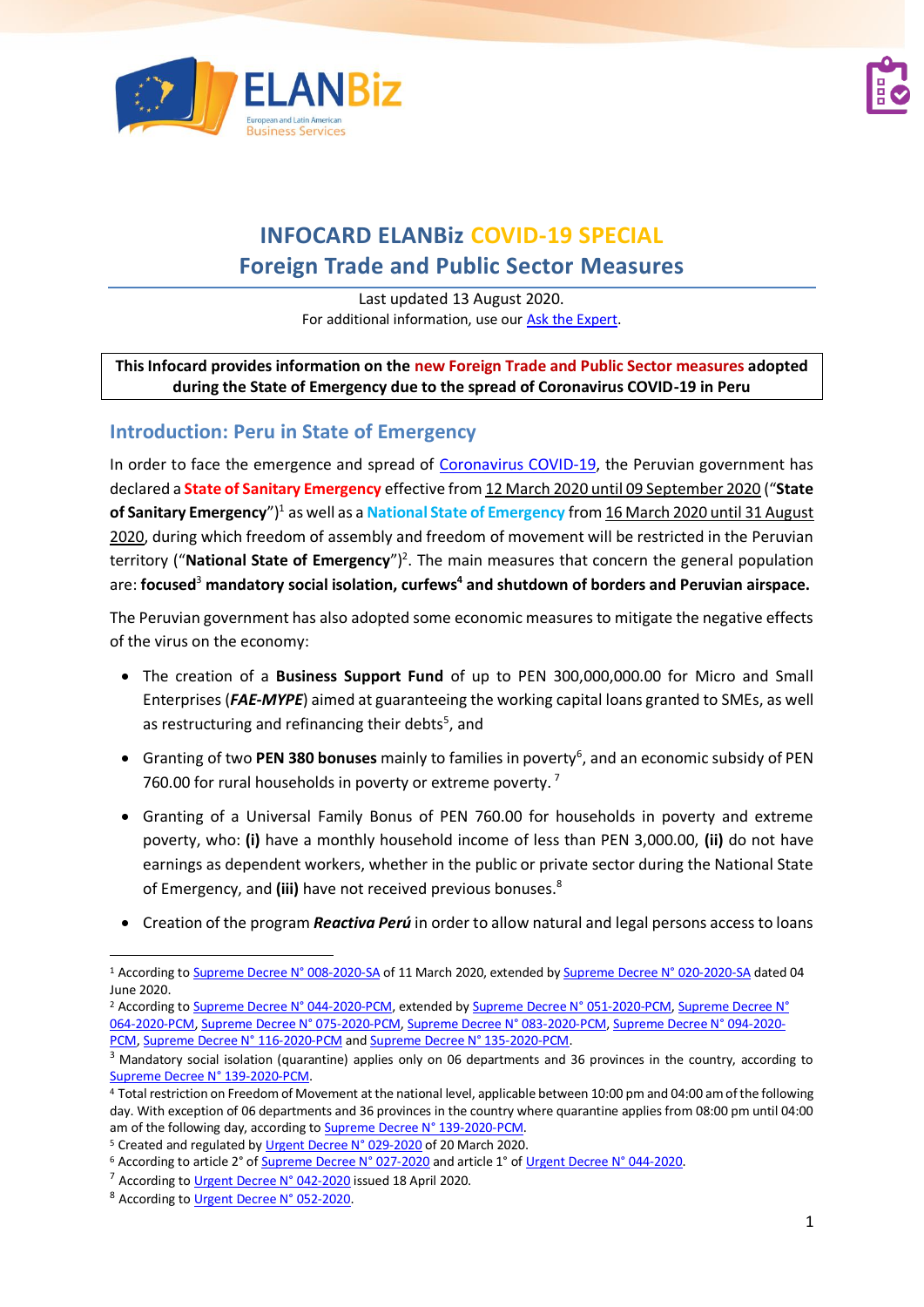



# **INFOCARD ELANBiz COVID-19 SPECIAL Foreign Trade and Public Sector Measures**

Last updated 13 August 2020. For additional information, use our [Ask the Expert.](http://bit.ly/2fQNCnJ)

**This Infocard provides information on the new Foreign Trade and Public Sector measures adopted during the State of Emergency due to the spread of Coronavirus COVID-19 in Peru** 

#### **Introduction: Peru in State of Emergency**

In order to face the emergence and spread of [Coronavirus COVID-19,](https://www.who.int/news-room/q-a-detail/q-a-coronaviruses) the Peruvian government has declared a **State of Sanitary Emergency** effective from 12 March 2020 until 09 September 2020 ("**State**  of Sanitary Emergency")<sup>1</sup> as well as a National State of Emergency from 16 March 2020 until 31 August 2020, during which freedom of assembly and freedom of movement will be restricted in the Peruvian territory ("National State of Emergency")<sup>2</sup>. The main measures that concern the general population are: **focused**<sup>3</sup> **mandatory social isolation, curfews<sup>4</sup> and shutdown of borders and Peruvian airspace.**

The Peruvian government has also adopted some economic measures to mitigate the negative effects of the virus on the economy:

- The creation of a **Business Support Fund** of up to PEN 300,000,000.00 for Micro and Small Enterprises (*FAE-MYPE*) aimed at guaranteeing the working capital loans granted to SMEs, as well as restructuring and refinancing their debts<sup>5</sup>, and
- **•** Granting of two PEN 380 bonuses mainly to families in poverty<sup>6</sup>, and an economic subsidy of PEN 760.00 for rural households in poverty or extreme poverty.<sup>7</sup>
- Granting of a Universal Family Bonus of PEN 760.00 for households in poverty and extreme poverty, who: **(i)** have a monthly household income of less than PEN 3,000.00, **(ii)** do not have earnings as dependent workers, whether in the public or private sector during the National State of Emergency, and **(iii)** have not received previous bonuses.<sup>8</sup>
- Creation of the program *Reactiva Perú* in order to allow natural and legal persons access to loans

<sup>2</sup> According t[o Supreme Decree N° 044-2020-PCM,](https://cdn.www.gob.pe/uploads/document/file/566448/DS044-PCM_1864948-2.pdf) extended b[y Supreme Decree N° 051-2020-PCM,](https://busquedas.elperuano.pe/normaslegales/prorroga-del-estado-de-emergencia-nacional-declarado-mediant-decreto-supremo-no-051-2020-pcm-1865180-2/) Supreme Decree N° [064-2020-PCM,](https://busquedas.elperuano.pe/normaslegales/decreto-supremo-que-prorroga-el-estado-de-emergencia-naciona-decreto-supremo-no-064-2020-pcm-1865482-3/) [Supreme Decree N° 075-2020-PCM,](https://busquedas.elperuano.pe/normaslegales/decreto-supremo-que-prorroga-el-estado-de-emergencia-naciona-decreto-supremo-n-075-2020-pcm-1865780-1/) [Supreme Decree N° 083-2020-PCM,](https://busquedas.elperuano.pe/normaslegales/decreto-supremo-que-prorroga-el-estado-de-emergencia-naciona-decreto-supremo-n-083-2020-pcm-1866214-1/) [Supreme Decree N° 094-2020-](https://busquedas.elperuano.pe/normaslegales/decreto-supremo-que-establece-las-medidas-que-debe-observar-decreto-supremo-n-094-2020-pcm-1866708-1/) [PCM,](https://busquedas.elperuano.pe/normaslegales/decreto-supremo-que-establece-las-medidas-que-debe-observar-decreto-supremo-n-094-2020-pcm-1866708-1/) [Supreme Decree N° 116-2020-PCM](https://busquedas.elperuano.pe/normaslegales/decreto-supremo-que-establece-las-medidas-que-debe-observar-decreto-supremo-no-116-2020-pcm-1869114-1/) an[d Supreme Decree N° 135-2020-PCM.](https://busquedas.elperuano.pe/normaslegales/decreto-supremo-que-prorroga-el-estado-de-emergencia-naciona-decreto-supremo-n-135-2020-pcm-1874483-1/)

<sup>&</sup>lt;sup>1</sup> According t[o Supreme Decree N° 008-2020-SA](https://cdn.www.gob.pe/uploads/document/file/565409/decreto-supremo-n-008-2020-sa-1863981-2.pdf) of 11 March 2020, extended b[y Supreme Decree N° 020-2020-SA](https://busquedas.elperuano.pe/normaslegales/decreto-supremo-que-prorroga-la-emergencia-sanitaria-declara-decreto-supremo-n-020-2020-sa-1867295-3/) dated 04 June 2020.

<sup>&</sup>lt;sup>3</sup> Mandatory social isolation (quarantine) applies only on 06 departments and 36 provinces in the country, according to [Supreme Decree N° 139-2020-PCM.](https://busquedas.elperuano.pe/normaslegales/decreto-supremo-que-modifica-el-decreto-supremo-n-116-2020-decreto-supremo-n-139-2020-pcm-1877093-1/)

<sup>4</sup> Total restriction on Freedom of Movement at the national level, applicable between 10:00 pm and 04:00 am of the following day. With exception of 06 departments and 36 provinces in the country where quarantine applies from 08:00 pm until 04:00 am of the following day, according to [Supreme Decree N° 139-2020-PCM.](https://busquedas.elperuano.pe/normaslegales/decreto-supremo-que-modifica-el-decreto-supremo-n-116-2020-decreto-supremo-n-139-2020-pcm-1877093-1/)

<sup>&</sup>lt;sup>5</sup> Created and regulated by [Urgent Decree N° 029-2020](https://cdn.www.gob.pe/uploads/document/file/569095/DU029_2020.pdf) of 20 March 2020.

<sup>6</sup> According to article 2° o[f Supreme Decree N° 027-2020](https://cdn.www.gob.pe/uploads/document/file/566916/DU027_2020.pdf) and article 1° o[f Urgent Decree N° 044-2020.](https://busquedas.elperuano.pe/normaslegales/decreto-de-urgencia-que-establece-la-ampliacion-de-las-medid-decreto-de-urgencia-n-044-2020-1865659-2/)

<sup>7</sup> According t[o Urgent Decree N°](https://busquedas.elperuano.pe/normaslegales/decreto-de-urgencia-que-establece-medidas-extraordinarias-de-decreto-de-urgencia-n-042-2020-1865631-2/) 042-2020 issued 18 April 2020.

<sup>8</sup> According t[o Urgent Decree N° 052-2020.](https://busquedas.elperuano.pe/normaslegales/decreto-de-urgencia-que-establece-medidas-extraordinarias-pa-decreto-de-urgencia-n-052-2020-1866033-1/)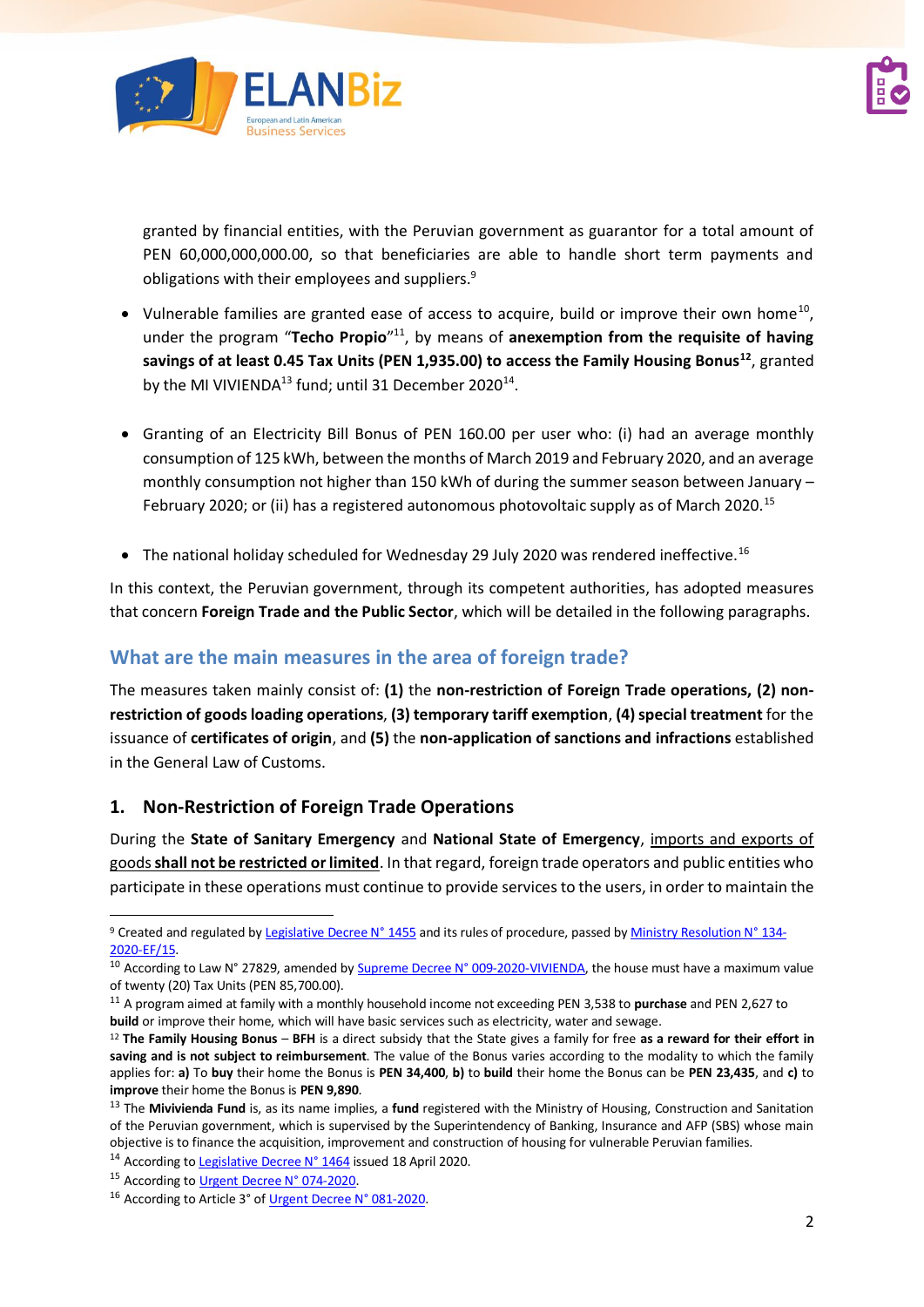

granted by financial entities, with the Peruvian government as guarantor for a total amount of PEN 60,000,000,000.00, so that beneficiaries are able to handle short term payments and obligations with their employees and suppliers.<sup>9</sup>

- Vulnerable families are granted ease of access to acquire, build or improve their own home<sup>10</sup>, under the program "Techo Propio"<sup>11</sup>, by means of anexemption from the requisite of having **savings of at least 0.45 Tax Units (PEN 1,935.00) to access the Family Housing Bonus<sup>12</sup>**, granted by the MI VIVIENDA $^{13}$  fund; until 31 December 2020<sup>14</sup>.
- Granting of an Electricity Bill Bonus of PEN 160.00 per user who: (i) had an average monthly consumption of 125 kWh, between the months of March 2019 and February 2020, and an average monthly consumption not higher than 150 kWh of during the summer season between January – February 2020; or (ii) has a registered autonomous photovoltaic supply as of March 2020.<sup>15</sup>
- The national holiday scheduled for Wednesday 29 July 2020 was rendered ineffective.<sup>16</sup>

In this context, the Peruvian government, through its competent authorities, has adopted measures that concern **Foreign Trade and the Public Sector**, which will be detailed in the following paragraphs.

## **What are the main measures in the area of foreign trade?**

The measures taken mainly consist of: **(1)** the **non-restriction of Foreign Trade operations, (2) nonrestriction of goods loading operations, (3) temporary tariff exemption, (4) special treatment for the** issuance of **certificates of origin**, and **(5)** the **non-application of sanctions and infractions** established in the General Law of Customs.

## **1. Non-Restriction of Foreign Trade Operations**

During the **State of Sanitary Emergency** and **National State of Emergency**, imports and exports of goods **shall not be restricted or limited**. In that regard, foreign trade operators and public entities who participate in these operations must continue to provide services to the users, in order to maintain the

<sup>&</sup>lt;sup>9</sup> Created and regulated by [Legislative Decree N° 1455](https://busquedas.elperuano.pe/download/url/decreto-legislativo-que-crea-el-programa-reactiva-peru-par-decreto-legislativo-no-1455-1865394-1) and its rules of procedure, passed b[y Ministry Resolution N° 134-](https://busquedas.elperuano.pe/download/url/aprueban-el-reglamento-operativo-del-programa-reactiva-peru-resolucion-ministerial-no-134-2020-ef15-1865501-1) [2020-EF/15.](https://busquedas.elperuano.pe/download/url/aprueban-el-reglamento-operativo-del-programa-reactiva-peru-resolucion-ministerial-no-134-2020-ef15-1865501-1)

<sup>&</sup>lt;sup>10</sup> According to Law N° 27829, amended by **Supreme Decree N° 009-2020-VIVIENDA**, the house must have a maximum value of twenty (20) Tax Units (PEN 85,700.00).

<sup>11</sup> A program aimed at family with a monthly household income not exceeding PEN 3,538 to **purchase** and PEN 2,627 to **build** or improve their home, which will have basic services such as electricity, water and sewage.

<sup>12</sup> **The Family Housing Bonus** – **BFH** is a direct subsidy that the State gives a family for free **as a reward for their effort in saving and is not subject to reimbursement**. The value of the Bonus varies according to the modality to which the family applies for: **a)** To **buy** their home the Bonus is **PEN 34,400**, **b)** to **build** their home the Bonus can be **PEN 23,435**, and **c)** to **improve** their home the Bonus is **PEN 9,890**.

<sup>13</sup> The **Mivivienda Fund** is, as its name implies, a **fund** registered with the Ministry of Housing, Construction and Sanitation of the Peruvian government, which is supervised by the Superintendency of Banking, Insurance and AFP (SBS) whose main objective is to finance the acquisition, improvement and construction of housing for vulnerable Peruvian families.

<sup>&</sup>lt;sup>14</sup> According to **Legislative Decree N° 1464** issued 18 April 2020.

<sup>&</sup>lt;sup>15</sup> According t[o Urgent Decree N° 074-2020.](https://busquedas.elperuano.pe/normaslegales/decreto-de-urgencia-que-crea-el-bono-electricidad-en-favor-d-decreto-de-urgencia-n-074-2020-1869131-1/)

<sup>16</sup> According to Article 3° o[f Urgent Decree N° 081-2020.](https://busquedas.elperuano.pe/normaslegales/decreto-de-urgencia-para-dinamizar-las-inversiones-y-los-ser-decreto-de-urgencia-n-081-2020-1869821-1/)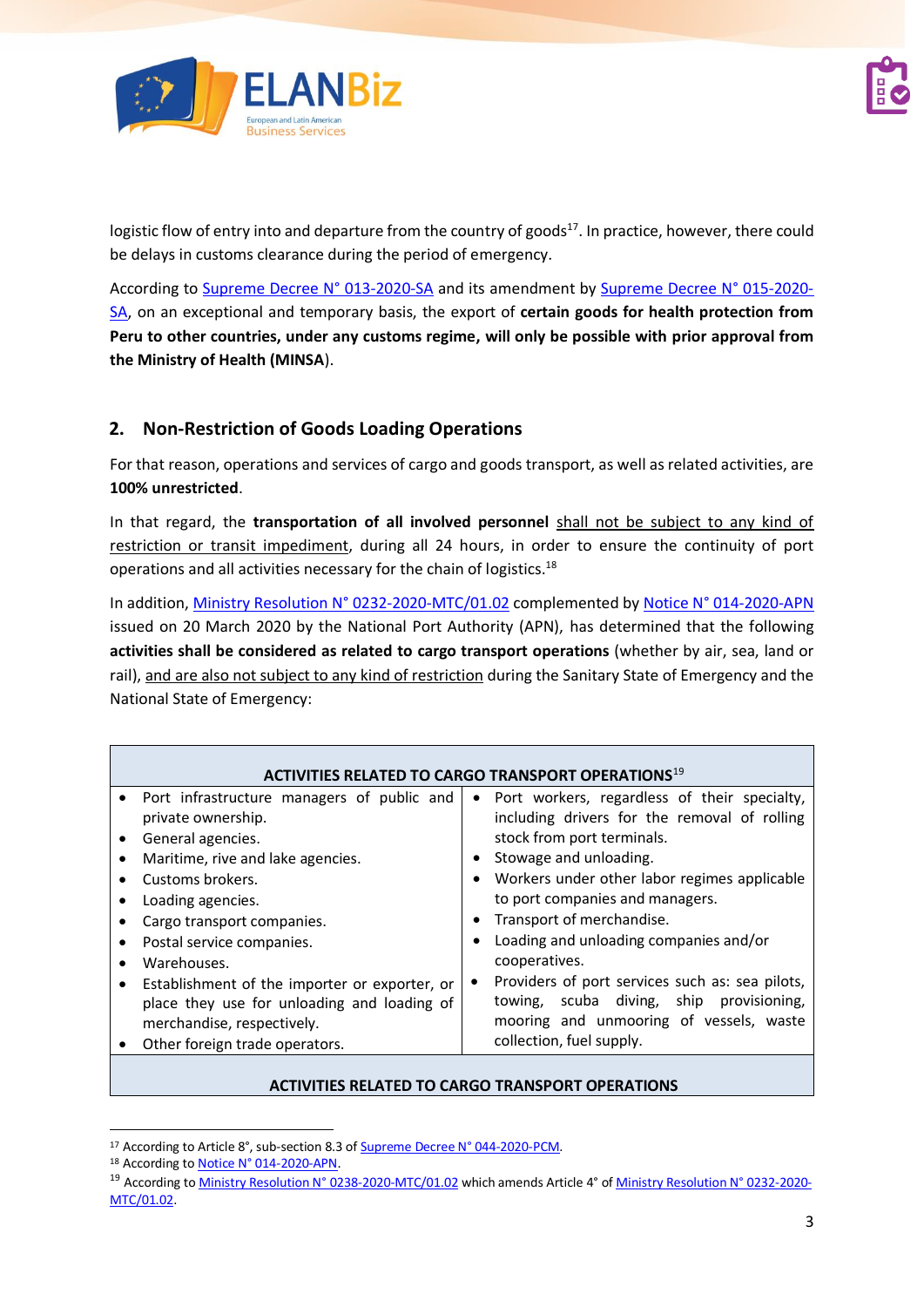

logistic flow of entry into and departure from the country of goods<sup>17</sup>. In practice, however, there could be delays in customs clearance during the period of emergency.

According to [Supreme Decree N° 013-2020-SA](https://busquedas.elperuano.pe/normaslegales/dictan-medidas-temporales-para-asegurar-el-suministro-de-pro-decreto-supremo-no-013-2020-sa-1865474-1/) and its amendment by [Supreme Decree N° 015-2020-](https://busquedas.elperuano.pe/normaslegales/decreto-supremo-que-modifica-el-decreto-supremo-n-013-2020-decreto-supremo-n-015-2020-sa-1865589-3/) [SA,](https://busquedas.elperuano.pe/normaslegales/decreto-supremo-que-modifica-el-decreto-supremo-n-013-2020-decreto-supremo-n-015-2020-sa-1865589-3/) on an exceptional and temporary basis, the export of **certain goods for health protection from Peru to other countries, under any customs regime, will only be possible with prior approval from the Ministry of Health (MINSA**).

## **2. Non-Restriction of Goods Loading Operations**

For that reason, operations and services of cargo and goods transport, as well as related activities, are **100% unrestricted**.

In that regard, the **transportation of all involved personnel** shall not be subject to any kind of restriction or transit impediment, during all 24 hours, in order to ensure the continuity of port operations and all activities necessary for the chain of logistics.<sup>18</sup>

In addition, Ministry Resolution N° [0232-2020-MTC/01.02](https://busquedas.elperuano.pe/normaslegales/autorizan-a-la-direccion-general-de-aeronautica-civil-otorgu-resolucion-ministerial-n-0232-2020-mtc0102-1865037-1/) complemented by Notice N° [014-2020-APN](https://www.apn.gob.pe/site/wp-content/uploads/2020/03/pdf/EQWSAU63XQ4NIK0STFDBC8EMKCWZZDRB9IVY.pdf) issued on 20 March 2020 by the National Port Authority (APN), has determined that the following **activities shall be considered as related to cargo transport operations** (whether by air, sea, land or rail), and are also not subject to any kind of restriction during the Sanitary State of Emergency and the National State of Emergency:

| <b>ACTIVITIES RELATED TO CARGO TRANSPORT OPERATIONS19</b> |           |                                                 |
|-----------------------------------------------------------|-----------|-------------------------------------------------|
| Port infrastructure managers of public and                | $\bullet$ | Port workers, regardless of their specialty,    |
| private ownership.                                        |           | including drivers for the removal of rolling    |
| General agencies.                                         |           | stock from port terminals.                      |
| Maritime, rive and lake agencies.                         |           | Stowage and unloading.                          |
| Customs brokers.                                          |           | • Workers under other labor regimes applicable  |
| Loading agencies.                                         |           | to port companies and managers.                 |
| Cargo transport companies.                                |           | Transport of merchandise.                       |
| Postal service companies.                                 |           | Loading and unloading companies and/or          |
| Warehouses.                                               |           | cooperatives.                                   |
| Establishment of the importer or exporter, or             |           | Providers of port services such as: sea pilots, |
| place they use for unloading and loading of               |           | scuba diving, ship provisioning,<br>towing,     |
| merchandise, respectively.                                |           | mooring and unmooring of vessels, waste         |
| Other foreign trade operators.                            |           | collection, fuel supply.                        |

#### **ACTIVITIES RELATED TO CARGO TRANSPORT OPERATIONS**

<sup>&</sup>lt;sup>17</sup> According to Article 8°, sub-section 8.3 o[f Supreme Decree N° 044-2020-PCM.](https://cdn.www.gob.pe/uploads/document/file/566448/DS044-PCM_1864948-2.pdf)

<sup>18</sup> According t[o Notice N° 014-2020-APN.](https://www.apn.gob.pe/site/wp-content/uploads/2020/03/pdf/EQWSAU63XQ4NIK0STFDBC8EMKCWZZDRB9IVY.pdf)

<sup>&</sup>lt;sup>19</sup> According t[o Ministry Resolution N° 0238-2020-MTC/01.02](https://busquedas.elperuano.pe/normaslegales/modifican-el-articulo-4-de-la-rm-n-0232-2020-mtc0102-r-resolucion-ministerial-n-0238-2020-mtc0102-1865338-1/) which amends Article 4° of [Ministry Resolution N°](https://busquedas.elperuano.pe/normaslegales/autorizan-a-la-direccion-general-de-aeronautica-civil-otorgu-resolucion-ministerial-n-0232-2020-mtc0102-1865037-1/) 0232-2020-[MTC/01.02.](https://busquedas.elperuano.pe/normaslegales/autorizan-a-la-direccion-general-de-aeronautica-civil-otorgu-resolucion-ministerial-n-0232-2020-mtc0102-1865037-1/)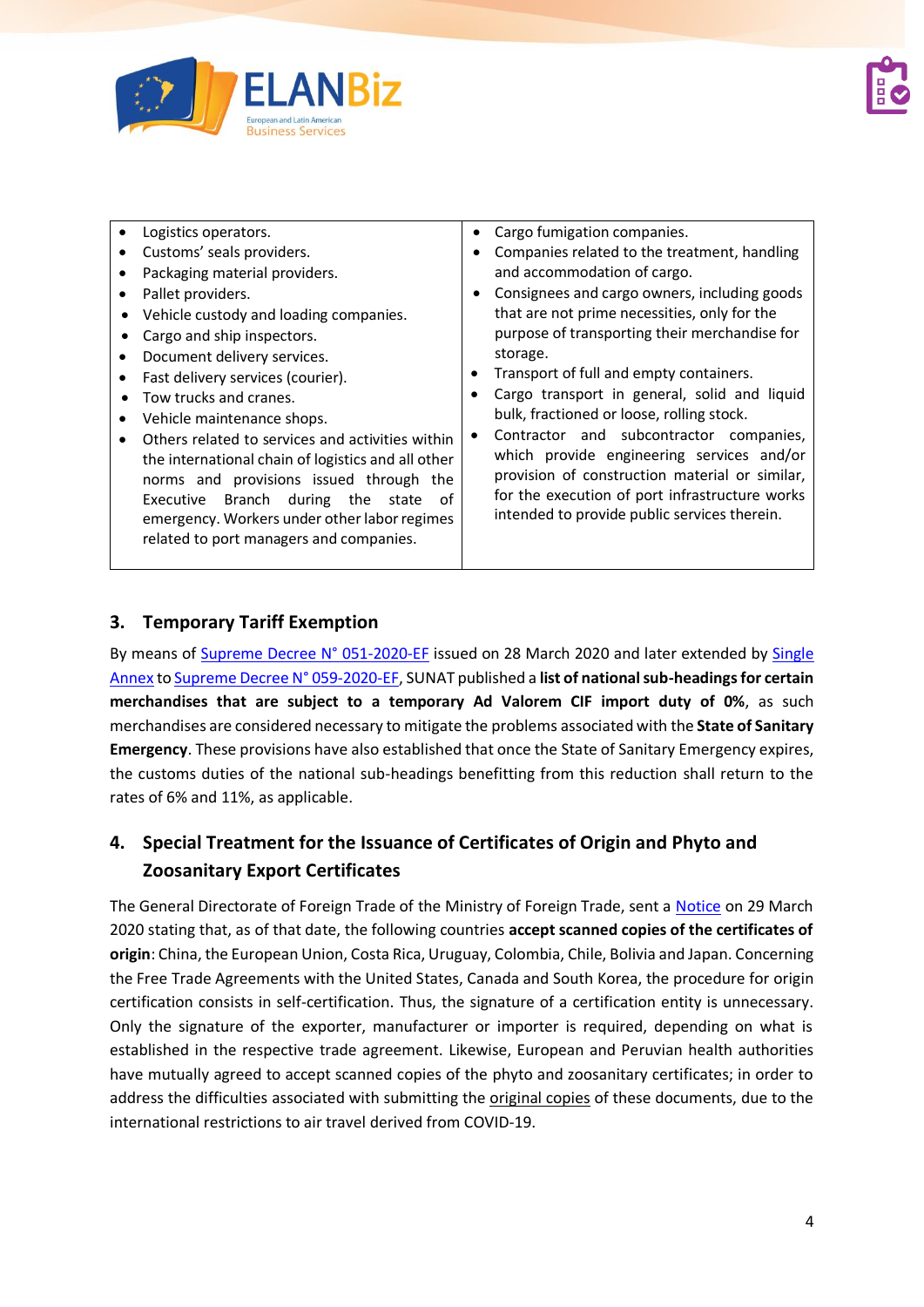

| $\bullet$ | Logistics operators.<br>Customs' seals providers.<br>Packaging material providers.<br>Pallet providers.<br>Vehicle custody and loading companies.<br>Cargo and ship inspectors.<br>Document delivery services.<br>Fast delivery services (courier).<br>Tow trucks and cranes.<br>Vehicle maintenance shops.<br>Others related to services and activities within<br>the international chain of logistics and all other<br>norms and provisions issued through the<br>Branch during the<br>οf<br>Executive<br>state<br>emergency. Workers under other labor regimes<br>related to port managers and companies. | ٠ | Cargo fumigation companies.<br>Companies related to the treatment, handling<br>and accommodation of cargo.<br>Consignees and cargo owners, including goods<br>that are not prime necessities, only for the<br>purpose of transporting their merchandise for<br>storage.<br>Transport of full and empty containers.<br>Cargo transport in general, solid and liquid<br>bulk, fractioned or loose, rolling stock.<br>Contractor and subcontractor companies,<br>which provide engineering services and/or<br>provision of construction material or similar,<br>for the execution of port infrastructure works<br>intended to provide public services therein. |
|-----------|--------------------------------------------------------------------------------------------------------------------------------------------------------------------------------------------------------------------------------------------------------------------------------------------------------------------------------------------------------------------------------------------------------------------------------------------------------------------------------------------------------------------------------------------------------------------------------------------------------------|---|-------------------------------------------------------------------------------------------------------------------------------------------------------------------------------------------------------------------------------------------------------------------------------------------------------------------------------------------------------------------------------------------------------------------------------------------------------------------------------------------------------------------------------------------------------------------------------------------------------------------------------------------------------------|
|           |                                                                                                                                                                                                                                                                                                                                                                                                                                                                                                                                                                                                              |   |                                                                                                                                                                                                                                                                                                                                                                                                                                                                                                                                                                                                                                                             |

### **3. Temporary Tariff Exemption**

By means of [Supreme Decree N° 051-2020-EF](https://cdn.www.gob.pe/uploads/document/file/566383/DS051_2020EF.pdf) issued on 28 March 2020 and later extended by Single [Annex](https://cdn.www.gob.pe/uploads/document/file/572375/anexo1_DS0592020EF_.pdf) t[o Supreme Decree N° 059-2020-EF,](https://busquedas.elperuano.pe/normaslegales/sustituyen-el-anexo-1-del-decreto-supremo-n-051-2020-ef-que-decreto-supremo-no-059-2020-ef-1865203-6/) SUNAT published a **list of national sub-headings for certain merchandises that are subject to a temporary Ad Valorem CIF import duty of 0%**, as such merchandises are considered necessary to mitigate the problems associated with the **State of Sanitary Emergency**. These provisions have also established that once the State of Sanitary Emergency expires, the customs duties of the national sub-headings benefitting from this reduction shall return to the rates of 6% and 11%, as applicable.

## **4. Special Treatment for the Issuance of Certificates of Origin and Phyto and Zoosanitary Export Certificates**

The General Directorate of Foreign Trade of the Ministry of Foreign Trade, sent a [Notice](https://www.gob.pe/institucion/mincetur/noticias/111589-mincetur-busca-que-exportadores-peruanos-continuen-realizando-envios-sin-contratiempos) on 29 March 2020 stating that, as of that date, the following countries **accept scanned copies of the certificates of origin**: China, the European Union, Costa Rica, Uruguay, Colombia, Chile, Bolivia and Japan. Concerning the Free Trade Agreements with the United States, Canada and South Korea, the procedure for origin certification consists in self-certification. Thus, the signature of a certification entity is unnecessary. Only the signature of the exporter, manufacturer or importer is required, depending on what is established in the respective trade agreement. Likewise, European and Peruvian health authorities have mutually agreed to accept scanned copies of the phyto and zoosanitary certificates; in order to address the difficulties associated with submitting the original copies of these documents, due to the international restrictions to air travel derived from COVID-19.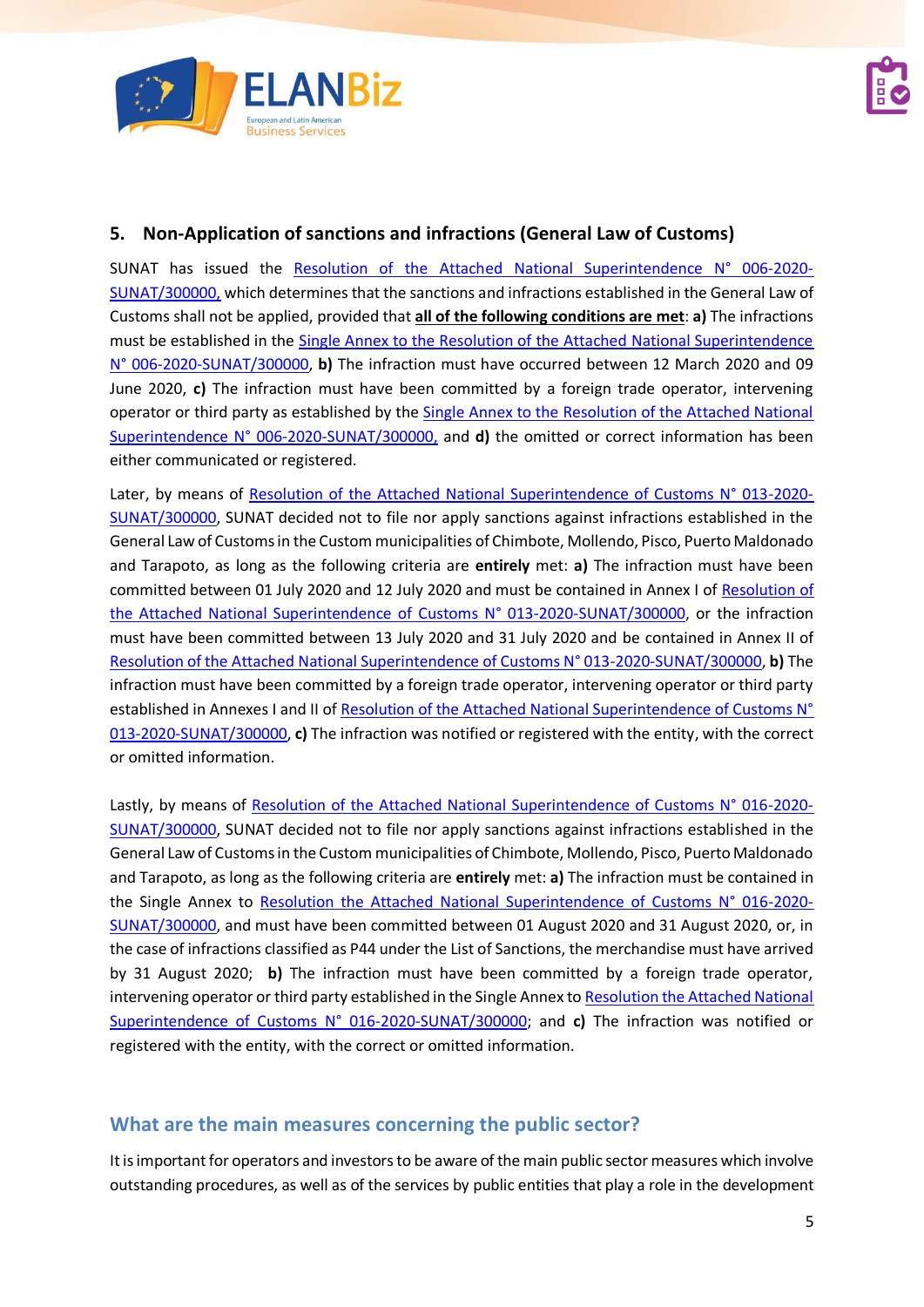

## **5. Non-Application of sanctions and infractions (General Law of Customs)**

SUNAT has issued the [Resolution of the Attached National Superintendence](http://www.sunat.gob.pe/legislacion/superAdjunta/rsnata/2020/RSNAA-006-2020.pdf) N° 006-2020- [SUNAT/300000,](http://www.sunat.gob.pe/legislacion/superAdjunta/rsnata/2020/RSNAA-006-2020.pdf) which determines that the sanctions and infractions established in the General Law of Customs shall not be applied, provided that **all of the following conditions are met**: **a)** The infractions must be established in the [Single Annex to the Resolution of the Attached](https://busquedas.elperuano.pe/normaslegales/aprueban-facultad-discrecional-para-no-determinar-ni-sancion-resolucion-n-006-2020-sunat300000-1865082-1/) National Superintendence [N° 006-2020-SUNAT/300000,](https://busquedas.elperuano.pe/normaslegales/aprueban-facultad-discrecional-para-no-determinar-ni-sancion-resolucion-n-006-2020-sunat300000-1865082-1/) **b)** The infraction must have occurred between 12 March 2020 and 09 June 2020, **c)** The infraction must have been committed by a foreign trade operator, intervening operator or third party as established by the [Single Annex to the Resolution of the Attached National](https://busquedas.elperuano.pe/normaslegales/aprueban-facultad-discrecional-para-no-determinar-ni-sancion-resolucion-n-006-2020-sunat300000-1865082-1/)  Superintendence [N° 006-2020-SUNAT/300000,](https://busquedas.elperuano.pe/normaslegales/aprueban-facultad-discrecional-para-no-determinar-ni-sancion-resolucion-n-006-2020-sunat300000-1865082-1/) and **d)** the omitted or correct information has been either communicated or registered.

Later, by means of [Resolution of the Attached National Superintendence of Customs N° 013-2020-](https://busquedas.elperuano.pe/normaslegales/aprueban-facultad-discrecional-para-no-determinar-ni-sancion-resolucion-n-013-2020-sunat300000-1869776-1/) [SUNAT/300000,](https://busquedas.elperuano.pe/normaslegales/aprueban-facultad-discrecional-para-no-determinar-ni-sancion-resolucion-n-013-2020-sunat300000-1869776-1/) SUNAT decided not to file nor apply sanctions against infractions established in the General Law of Customs in the Custom municipalities of Chimbote, Mollendo, Pisco, Puerto Maldonado and Tarapoto, as long as the following criteria are **entirely** met: **a)** The infraction must have been committed between 01 July 2020 and 12 July 2020 and must be contained in Annex I of [Resolution of](https://busquedas.elperuano.pe/normaslegales/aprueban-facultad-discrecional-para-no-determinar-ni-sancion-resolucion-n-013-2020-sunat300000-1869776-1/)  [the Attached National Superintendence of Customs N° 013-2020-SUNAT/300000,](https://busquedas.elperuano.pe/normaslegales/aprueban-facultad-discrecional-para-no-determinar-ni-sancion-resolucion-n-013-2020-sunat300000-1869776-1/) or the infraction must have been committed between 13 July 2020 and 31 July 2020 and be contained in Annex II of [Resolution of the Attached National Superintendence of Customs N° 013-2020-SUNAT/300000,](https://busquedas.elperuano.pe/normaslegales/aprueban-facultad-discrecional-para-no-determinar-ni-sancion-resolucion-n-013-2020-sunat300000-1869776-1/) **b)** The infraction must have been committed by a foreign trade operator, intervening operator or third party established in Annexes I and II o[f Resolution of the Attached National Superintendence of Customs N°](https://busquedas.elperuano.pe/normaslegales/aprueban-facultad-discrecional-para-no-determinar-ni-sancion-resolucion-n-013-2020-sunat300000-1869776-1/)  [013-2020-SUNAT/300000,](https://busquedas.elperuano.pe/normaslegales/aprueban-facultad-discrecional-para-no-determinar-ni-sancion-resolucion-n-013-2020-sunat300000-1869776-1/) **c)** The infraction was notified or registered with the entity, with the correct or omitted information.

Lastly, by means of [Resolution of the Attached National Superintendence of Customs N° 016-2020-](http://www.sunat.gob.pe/legislacion/superAdjunta/rsnata/2020/RSNAA-016-2020.pdf) [SUNAT/300000,](http://www.sunat.gob.pe/legislacion/superAdjunta/rsnata/2020/RSNAA-016-2020.pdf) SUNAT decided not to file nor apply sanctions against infractions established in the General Law of Customs in the Custom municipalities of Chimbote, Mollendo, Pisco, Puerto Maldonado and Tarapoto, as long as the following criteria are **entirely** met: **a)** The infraction must be contained in the Single Annex to [Resolution the Attached National Superintendence of Customs N° 016-2020-](http://www.sunat.gob.pe/legislacion/superAdjunta/rsnata/2020/RSNAA-016-2020.pdf) [SUNAT/300000,](http://www.sunat.gob.pe/legislacion/superAdjunta/rsnata/2020/RSNAA-016-2020.pdf) and must have been committed between 01 August 2020 and 31 August 2020, or, in the case of infractions classified as P44 under the List of Sanctions, the merchandise must have arrived by 31 August 2020; **b)** The infraction must have been committed by a foreign trade operator, intervening operator or third party established in the Single Annex to [Resolution the Attached National](http://www.sunat.gob.pe/legislacion/superAdjunta/rsnata/2020/RSNAA-016-2020.pdf)  [Superintendence of Customs N° 016-2020-SUNAT/300000;](http://www.sunat.gob.pe/legislacion/superAdjunta/rsnata/2020/RSNAA-016-2020.pdf) and **c)** The infraction was notified or registered with the entity, with the correct or omitted information.

## **What are the main measures concerning the public sector?**

It is important for operators and investors to be aware of the main public sector measures which involve outstanding procedures, as well as of the services by public entities that play a role in the development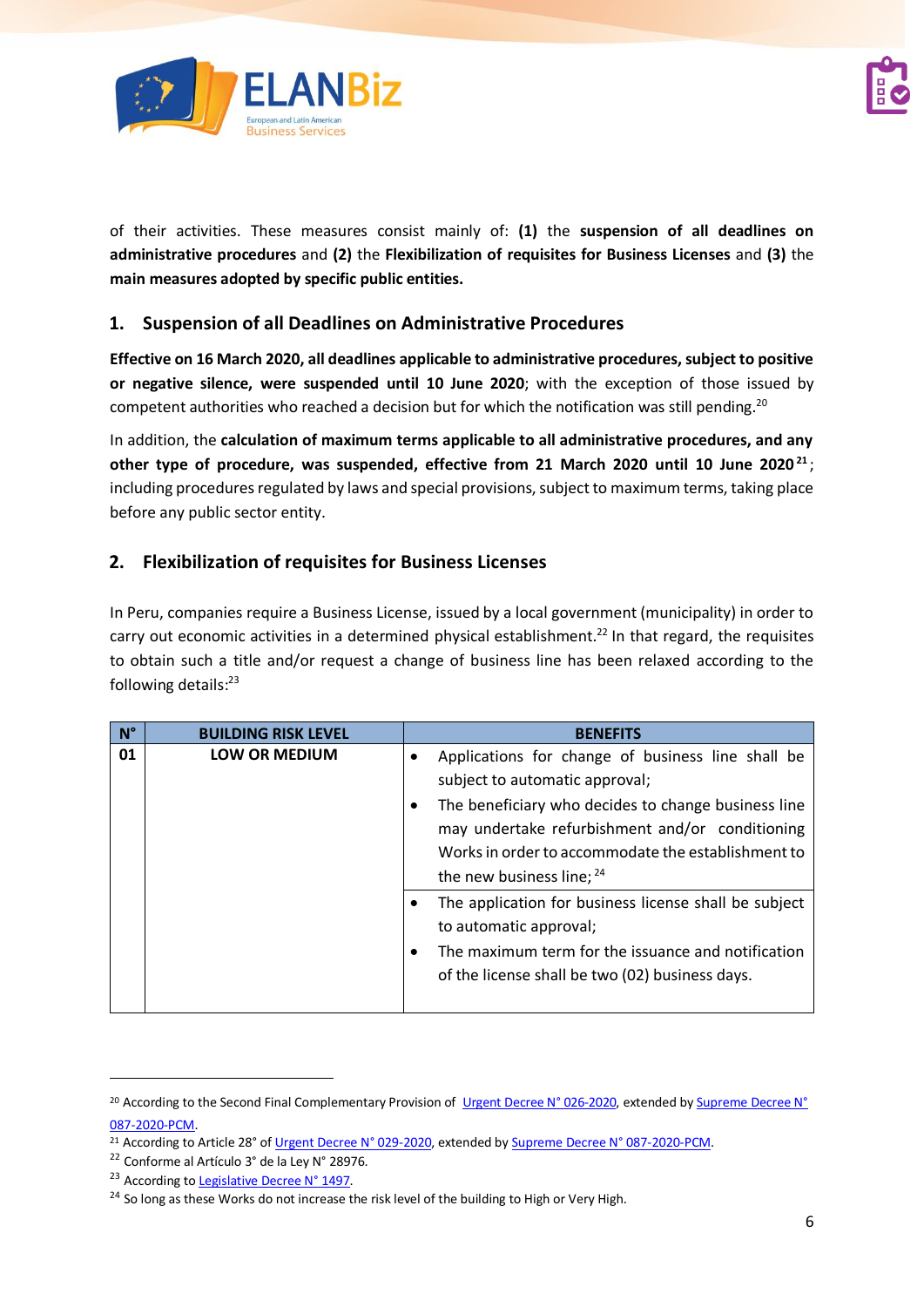

of their activities. These measures consist mainly of: **(1)** the **suspension of all deadlines on administrative procedures** and **(2)** the **Flexibilization of requisites for Business Licenses** and **(3)** the **main measures adopted by specific public entities.**

### **1. Suspension of all Deadlines on Administrative Procedures**

**Effective on 16 March 2020, all deadlines applicable to administrative procedures, subject to positive or negative silence, were suspended until 10 June 2020**; with the exception of those issued by competent authorities who reached a decision but for which the notification was still pending.<sup>20</sup>

In addition, the **calculation of maximum terms applicable to all administrative procedures, and any other type of procedure, was suspended, effective from 21 March 2020 until 10 June 2020 <sup>21</sup>** ; including procedures regulated by laws and special provisions, subject to maximum terms, taking place before any public sector entity.

#### **2. Flexibilization of requisites for Business Licenses**

In Peru, companies require a Business License, issued by a local government (municipality) in order to carry out economic activities in a determined physical establishment.<sup>22</sup> In that regard, the requisites to obtain such a title and/or request a change of business line has been relaxed according to the following details: 23

| $N^{\circ}$ | <b>BUILDING RISK LEVEL</b> |                | <b>BENEFITS</b>                                                                                                                                                                                                                                     |
|-------------|----------------------------|----------------|-----------------------------------------------------------------------------------------------------------------------------------------------------------------------------------------------------------------------------------------------------|
| 01          | <b>LOW OR MEDIUM</b>       | $\bullet$<br>٠ | Applications for change of business line shall be<br>subject to automatic approval;<br>The beneficiary who decides to change business line<br>may undertake refurbishment and/or conditioning<br>Works in order to accommodate the establishment to |
|             |                            |                | the new business line; $24$                                                                                                                                                                                                                         |
|             |                            |                | The application for business license shall be subject<br>to automatic approval;<br>The maximum term for the issuance and notification<br>of the license shall be two (02) business days.                                                            |
|             |                            |                |                                                                                                                                                                                                                                                     |

<sup>&</sup>lt;sup>20</sup> According to the Second Final Complementary Provision of [Urgent Decree](https://cdn.www.gob.pe/uploads/document/file/566447/DU026-20201864948-1.pdf) N° 026-2020, extended by Supreme Decree N° [087-2020-PCM.](https://busquedas.elperuano.pe/normaslegales/decreto-supremo-que-dispone-la-prorroga-de-la-suspension-del-decreto-supremo-n-087-2020-pcm-1866569-1/)

<sup>&</sup>lt;sup>21</sup> According to Article 28° o[f Urgent Decree](https://cdn.www.gob.pe/uploads/document/file/569095/DU029_2020.pdf) N° 029-2020, extended b[y Supreme Decree N° 087-2020-PCM.](https://busquedas.elperuano.pe/normaslegales/decreto-supremo-que-dispone-la-prorroga-de-la-suspension-del-decreto-supremo-n-087-2020-pcm-1866569-1/)

<sup>22</sup> Conforme al Artículo 3° de la Ley N° 28976.

<sup>&</sup>lt;sup>23</sup> According t[o Legislative Decree N° 1497.](https://busquedas.elperuano.pe/normaslegales/decreto-legislativo-que-establece-medidas-para-promover-y-fa-decreto-legislativo-n-1497-1866211-4/)

<sup>&</sup>lt;sup>24</sup> So long as these Works do not increase the risk level of the building to High or Very High.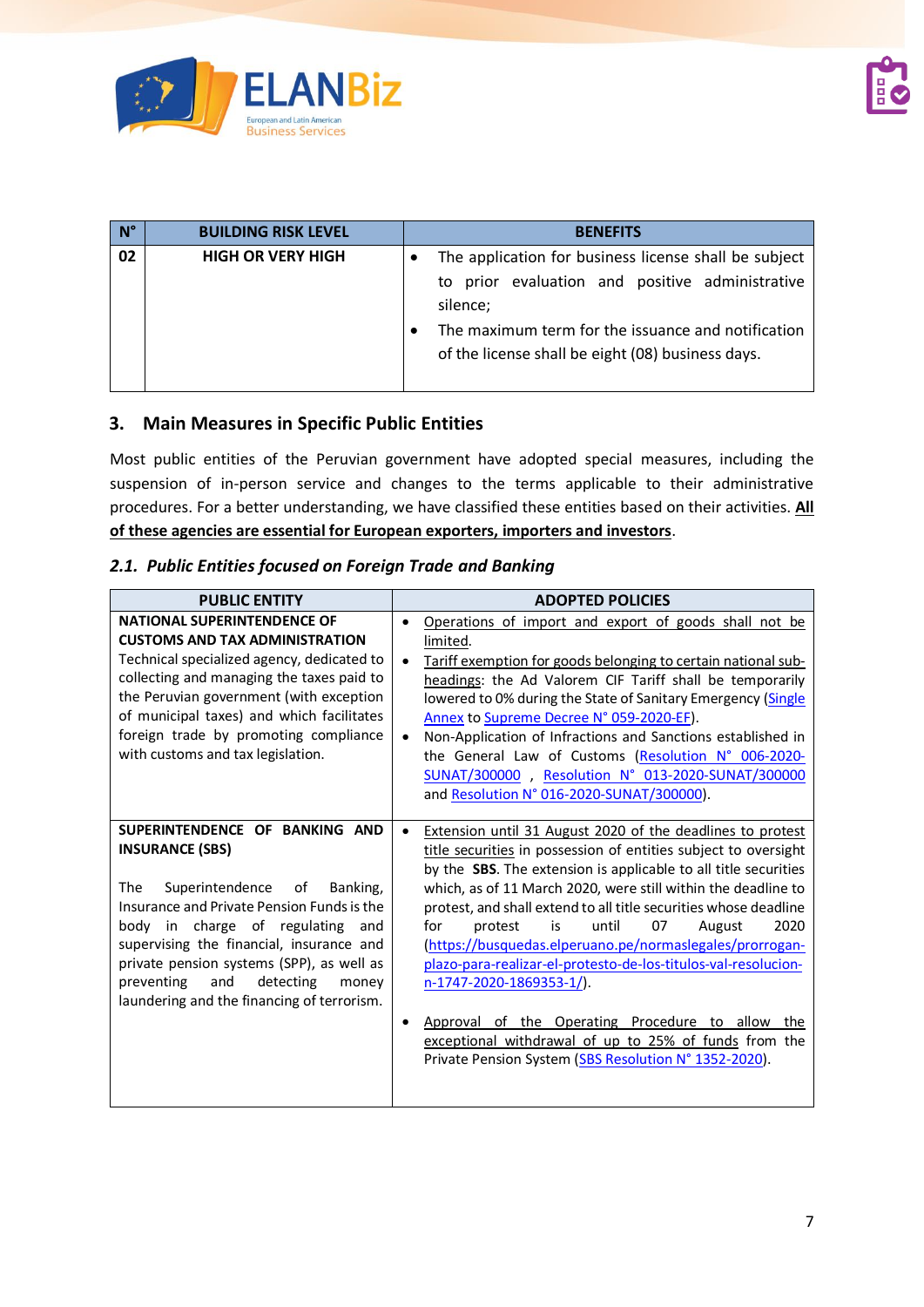

| N° | <b>BUILDING RISK LEVEL</b> | <b>BENEFITS</b>                                                                                                                                                                                                                 |
|----|----------------------------|---------------------------------------------------------------------------------------------------------------------------------------------------------------------------------------------------------------------------------|
| 02 | <b>HIGH OR VERY HIGH</b>   | The application for business license shall be subject<br>to prior evaluation and positive administrative<br>silence;<br>The maximum term for the issuance and notification<br>of the license shall be eight (08) business days. |

#### **3. Main Measures in Specific Public Entities**

Most public entities of the Peruvian government have adopted special measures, including the suspension of in-person service and changes to the terms applicable to their administrative procedures. For a better understanding, we have classified these entities based on their activities. **All of these agencies are essential for European exporters, importers and investors**.

#### *2.1. Public Entities focused on Foreign Trade and Banking*

| <b>PUBLIC ENTITY</b>                                                                                                                                                                                                                                                                                                                                                              | <b>ADOPTED POLICIES</b>                                                                                                                                                                                                                                                                                                                                                                                                                                                                                                                                                                                                                                                                                                                     |
|-----------------------------------------------------------------------------------------------------------------------------------------------------------------------------------------------------------------------------------------------------------------------------------------------------------------------------------------------------------------------------------|---------------------------------------------------------------------------------------------------------------------------------------------------------------------------------------------------------------------------------------------------------------------------------------------------------------------------------------------------------------------------------------------------------------------------------------------------------------------------------------------------------------------------------------------------------------------------------------------------------------------------------------------------------------------------------------------------------------------------------------------|
| <b>NATIONAL SUPERINTENDENCE OF</b><br><b>CUSTOMS AND TAX ADMINISTRATION</b><br>Technical specialized agency, dedicated to<br>collecting and managing the taxes paid to<br>the Peruvian government (with exception<br>of municipal taxes) and which facilitates<br>foreign trade by promoting compliance<br>with customs and tax legislation.                                      | Operations of import and export of goods shall not be<br>٠<br>limited.<br>Tariff exemption for goods belonging to certain national sub-<br>headings: the Ad Valorem CIF Tariff shall be temporarily<br>lowered to 0% during the State of Sanitary Emergency (Single<br>Annex to Supreme Decree N° 059-2020-EF).<br>Non-Application of Infractions and Sanctions established in<br>$\bullet$<br>the General Law of Customs (Resolution N° 006-2020-<br>SUNAT/300000 , Resolution N° 013-2020-SUNAT/300000<br>and Resolution N° 016-2020-SUNAT/300000).                                                                                                                                                                                       |
| SUPERINTENDENCE OF BANKING AND<br><b>INSURANCE (SBS)</b><br>The<br>Superintendence<br>of<br>Banking,<br>Insurance and Private Pension Funds is the<br>charge of regulating<br>body<br>in<br>and<br>supervising the financial, insurance and<br>private pension systems (SPP), as well as<br>preventing<br>detecting<br>and<br>money<br>laundering and the financing of terrorism. | Extension until 31 August 2020 of the deadlines to protest<br>$\bullet$<br>title securities in possession of entities subject to oversight<br>by the SBS. The extension is applicable to all title securities<br>which, as of 11 March 2020, were still within the deadline to<br>protest, and shall extend to all title securities whose deadline<br>2020<br>for<br>protest<br>07<br>until<br>August<br>is<br>(https://busquedas.elperuano.pe/normaslegales/prorrogan-<br>plazo-para-realizar-el-protesto-de-los-titulos-val-resolucion-<br>n-1747-2020-1869353-1/).<br>Approval of the Operating Procedure to allow the<br>exceptional withdrawal of up to 25% of funds from the<br>Private Pension System (SBS Resolution N° 1352-2020). |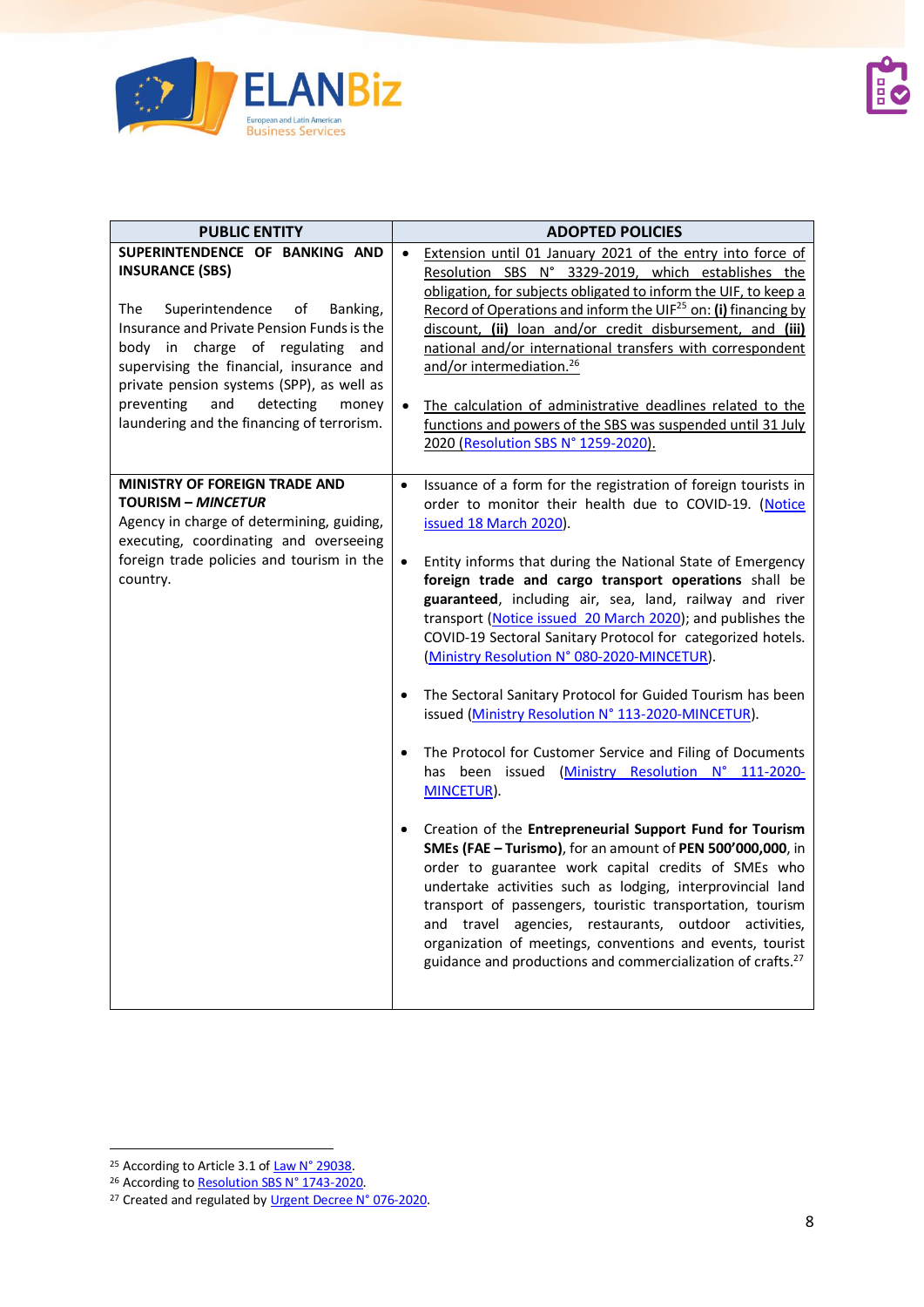

| <b>PUBLIC ENTITY</b>                                                                                                                                                                                                                                                                                                                                                     | <b>ADOPTED POLICIES</b>                                                                                                                                                                                                                                                                                                                                                                                                                                                                                                                                                                                                                                                                                                                                                                                                                                                                                                                                                                                                                                                                                                                                                                                                                                                                                      |
|--------------------------------------------------------------------------------------------------------------------------------------------------------------------------------------------------------------------------------------------------------------------------------------------------------------------------------------------------------------------------|--------------------------------------------------------------------------------------------------------------------------------------------------------------------------------------------------------------------------------------------------------------------------------------------------------------------------------------------------------------------------------------------------------------------------------------------------------------------------------------------------------------------------------------------------------------------------------------------------------------------------------------------------------------------------------------------------------------------------------------------------------------------------------------------------------------------------------------------------------------------------------------------------------------------------------------------------------------------------------------------------------------------------------------------------------------------------------------------------------------------------------------------------------------------------------------------------------------------------------------------------------------------------------------------------------------|
| SUPERINTENDENCE OF BANKING AND<br><b>INSURANCE (SBS)</b><br>The<br>Superintendence<br>of<br>Banking,<br>Insurance and Private Pension Funds is the<br>body in charge of regulating and<br>supervising the financial, insurance and<br>private pension systems (SPP), as well as<br>preventing<br>and<br>detecting<br>money<br>laundering and the financing of terrorism. | Extension until 01 January 2021 of the entry into force of<br>$\bullet$<br>Resolution SBS N° 3329-2019, which establishes the<br>obligation, for subjects obligated to inform the UIF, to keep a<br>Record of Operations and inform the UIF <sup>25</sup> on: (i) financing by<br>discount, (ii) loan and/or credit disbursement, and (iii)<br>national and/or international transfers with correspondent<br>and/or intermediation. <sup>26</sup><br>The calculation of administrative deadlines related to the<br>functions and powers of the SBS was suspended until 31 July<br>2020 (Resolution SBS N° 1259-2020).                                                                                                                                                                                                                                                                                                                                                                                                                                                                                                                                                                                                                                                                                        |
| MINISTRY OF FOREIGN TRADE AND<br><b>TOURISM - MINCETUR</b><br>Agency in charge of determining, guiding,<br>executing, coordinating and overseeing<br>foreign trade policies and tourism in the<br>country.                                                                                                                                                               | Issuance of a form for the registration of foreign tourists in<br>$\bullet$<br>order to monitor their health due to COVID-19. (Notice<br>issued 18 March 2020).<br>Entity informs that during the National State of Emergency<br>$\bullet$<br>foreign trade and cargo transport operations shall be<br>guaranteed, including air, sea, land, railway and river<br>transport (Notice issued 20 March 2020); and publishes the<br>COVID-19 Sectoral Sanitary Protocol for categorized hotels.<br>(Ministry Resolution N° 080-2020-MINCETUR).<br>The Sectoral Sanitary Protocol for Guided Tourism has been<br>issued (Ministry Resolution N° 113-2020-MINCETUR).<br>The Protocol for Customer Service and Filing of Documents<br>has been issued (Ministry Resolution N° 111-2020-<br>MINCETUR).<br>Creation of the Entrepreneurial Support Fund for Tourism<br>SMEs (FAE - Turismo), for an amount of PEN 500'000,000, in<br>order to guarantee work capital credits of SMEs who<br>undertake activities such as lodging, interprovincial land<br>transport of passengers, touristic transportation, tourism<br>and travel agencies, restaurants, outdoor activities,<br>organization of meetings, conventions and events, tourist<br>guidance and productions and commercialization of crafts. <sup>27</sup> |

<sup>&</sup>lt;sup>25</sup> According to Article 3.1 of Law [N° 29038.](http://www.leyes.congreso.gob.pe/Documentos/Leyes/29038.pdf)

<sup>&</sup>lt;sup>26</sup> According to <u>Resolution SBS N° 1743-2020</u>.

<sup>&</sup>lt;sup>27</sup> Created and regulated b[y Urgent Decree](https://busquedas.elperuano.pe/normaslegales/decreto-de-urgencia-que-dicta-medidas-complementarias-destin-decreto-de-urgencia-n-076-2020-1869172-2/) N° 076-2020.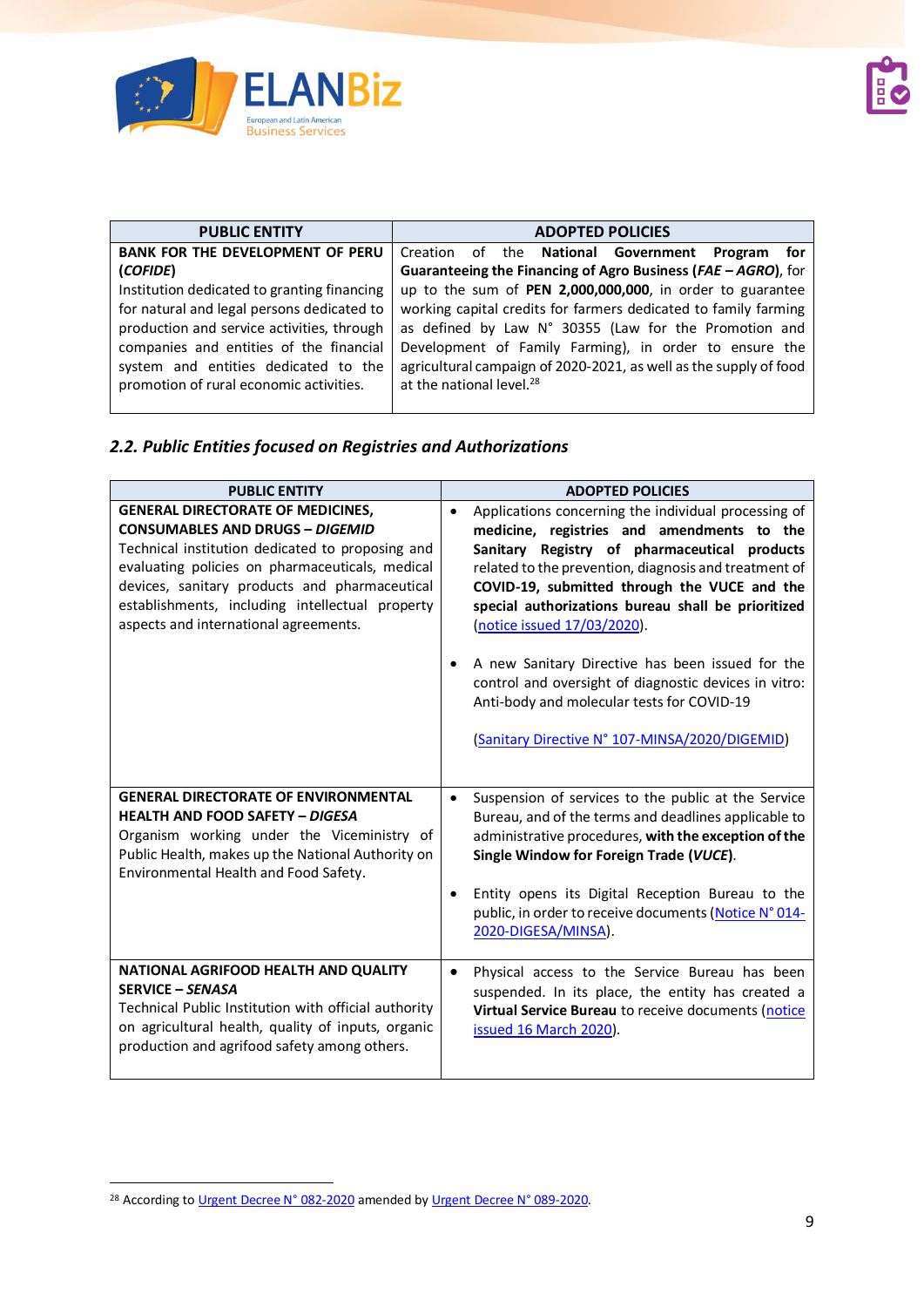

| <b>PUBLIC ENTITY</b>                        | <b>ADOPTED POLICIES</b>                                           |
|---------------------------------------------|-------------------------------------------------------------------|
| <b>BANK FOR THE DEVELOPMENT OF PERU</b>     | the National Government Program<br>Creation<br>for for<br>of      |
| (COFIDE)                                    | Guaranteeing the Financing of Agro Business (FAE - AGRO), for     |
| Institution dedicated to granting financing | up to the sum of PEN 2,000,000,000, in order to guarantee         |
| for natural and legal persons dedicated to  | working capital credits for farmers dedicated to family farming   |
| production and service activities, through  | as defined by Law N° 30355 (Law for the Promotion and             |
| companies and entities of the financial     | Development of Family Farming), in order to ensure the            |
| system and entities dedicated to the        | agricultural campaign of 2020-2021, as well as the supply of food |
| promotion of rural economic activities.     | at the national level. <sup>28</sup>                              |
|                                             |                                                                   |

## *2.2. Public Entities focused on Registries and Authorizations*

| <b>PUBLIC ENTITY</b>                                                                                                                                                                                                                                                                                                                   | <b>ADOPTED POLICIES</b>                                                                                                                                                                                                                                                                                                                                                                                                                                                                                                                                                                 |
|----------------------------------------------------------------------------------------------------------------------------------------------------------------------------------------------------------------------------------------------------------------------------------------------------------------------------------------|-----------------------------------------------------------------------------------------------------------------------------------------------------------------------------------------------------------------------------------------------------------------------------------------------------------------------------------------------------------------------------------------------------------------------------------------------------------------------------------------------------------------------------------------------------------------------------------------|
| <b>GENERAL DIRECTORATE OF MEDICINES,</b><br><b>CONSUMABLES AND DRUGS - DIGEMID</b><br>Technical institution dedicated to proposing and<br>evaluating policies on pharmaceuticals, medical<br>devices, sanitary products and pharmaceutical<br>establishments, including intellectual property<br>aspects and international agreements. | Applications concerning the individual processing of<br>$\bullet$<br>medicine, registries and amendments to the<br>Sanitary Registry of pharmaceutical products<br>related to the prevention, diagnosis and treatment of<br>COVID-19, submitted through the VUCE and the<br>special authorizations bureau shall be prioritized<br>(notice issued 17/03/2020).<br>A new Sanitary Directive has been issued for the<br>$\bullet$<br>control and oversight of diagnostic devices in vitro:<br>Anti-body and molecular tests for COVID-19<br>(Sanitary Directive N° 107-MINSA/2020/DIGEMID) |
| <b>GENERAL DIRECTORATE OF ENVIRONMENTAL</b><br><b>HEALTH AND FOOD SAFETY - DIGESA</b><br>Organism working under the Viceministry of<br>Public Health, makes up the National Authority on<br>Environmental Health and Food Safety.                                                                                                      | Suspension of services to the public at the Service<br>$\bullet$<br>Bureau, and of the terms and deadlines applicable to<br>administrative procedures, with the exception of the<br>Single Window for Foreign Trade (VUCE).<br>Entity opens its Digital Reception Bureau to the<br>٠<br>public, in order to receive documents (Notice N° 014-<br>2020-DIGESA/MINSA).                                                                                                                                                                                                                    |
| NATIONAL AGRIFOOD HEALTH AND QUALITY<br><b>SERVICE - SENASA</b><br>Technical Public Institution with official authority<br>on agricultural health, quality of inputs, organic<br>production and agrifood safety among others.                                                                                                          | Physical access to the Service Bureau has been<br>$\bullet$<br>suspended. In its place, the entity has created a<br>Virtual Service Bureau to receive documents (notice<br>issued 16 March 2020).                                                                                                                                                                                                                                                                                                                                                                                       |

<sup>&</sup>lt;sup>28</sup> According t[o Urgent Decree N° 082-2020](https://busquedas.elperuano.pe/normaslegales/decreto-de-urgencia-que-dicta-medidas-complementarias-destin-decreto-de-urgencia-no-082-2020-1870378-1/) amended b[y Urgent Decree](https://busquedas.elperuano.pe/normaslegales/decreto-de-urgencia-que-modifica-el-decreto-de-urgencia-no-0-decreto-de-urgencia-n-089-2020-1873877-2/) N° 089-2020.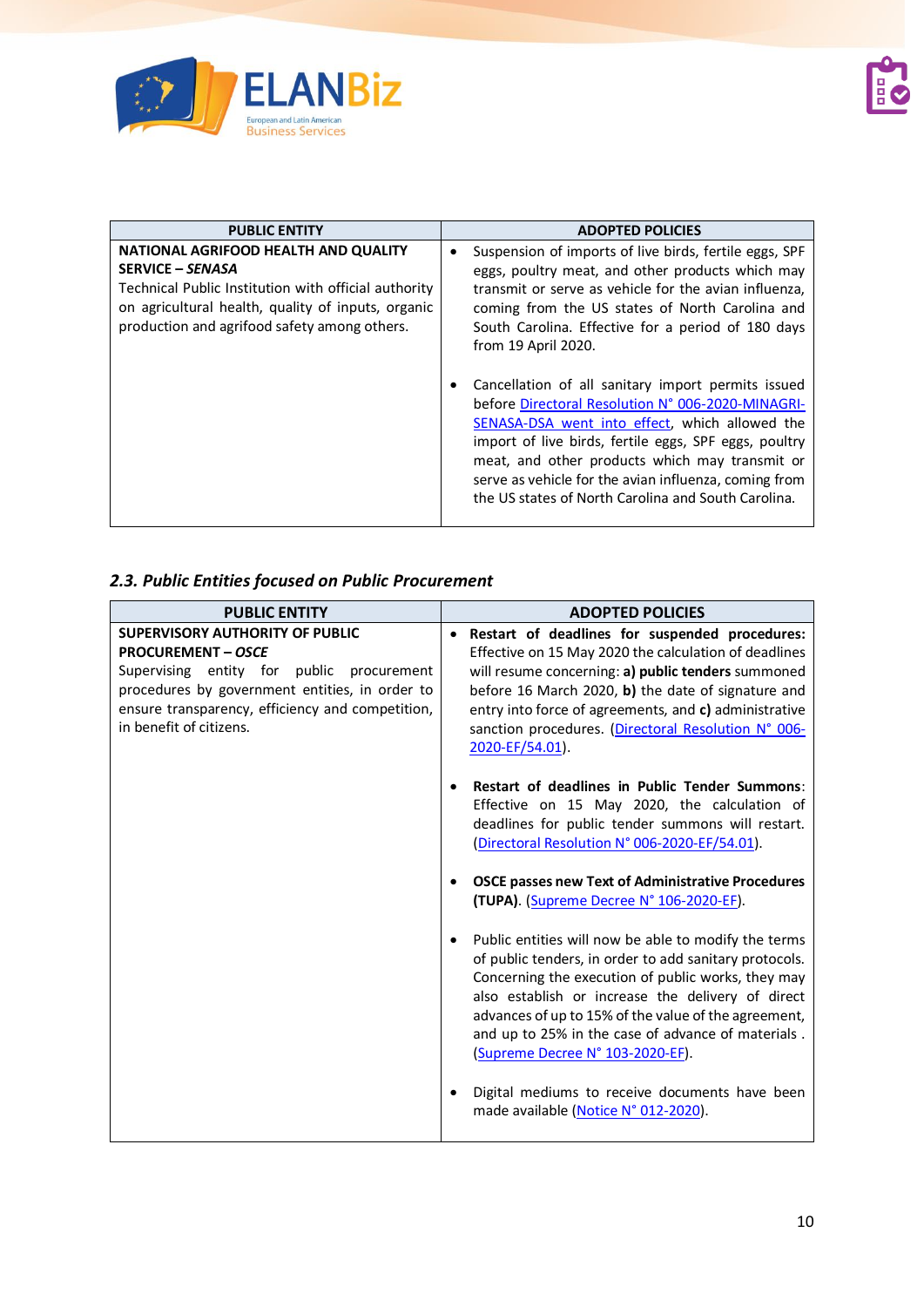

| <b>PUBLIC ENTITY</b>                                                                                                                                                                                                          | <b>ADOPTED POLICIES</b>                                                                                                                                                                                                                                                                                                                                                |
|-------------------------------------------------------------------------------------------------------------------------------------------------------------------------------------------------------------------------------|------------------------------------------------------------------------------------------------------------------------------------------------------------------------------------------------------------------------------------------------------------------------------------------------------------------------------------------------------------------------|
| NATIONAL AGRIFOOD HEALTH AND QUALITY<br><b>SERVICE – SENASA</b><br>Technical Public Institution with official authority<br>on agricultural health, quality of inputs, organic<br>production and agrifood safety among others. | Suspension of imports of live birds, fertile eggs, SPF<br>$\bullet$<br>eggs, poultry meat, and other products which may<br>transmit or serve as vehicle for the avian influenza,<br>coming from the US states of North Carolina and<br>South Carolina. Effective for a period of 180 days<br>from 19 April 2020.<br>Cancellation of all sanitary import permits issued |
|                                                                                                                                                                                                                               | before Directoral Resolution N° 006-2020-MINAGRI-<br>SENASA-DSA went into effect, which allowed the<br>import of live birds, fertile eggs, SPF eggs, poultry<br>meat, and other products which may transmit or<br>serve as vehicle for the avian influenza, coming from<br>the US states of North Carolina and South Carolina.                                         |

## *2.3. Public Entities focused on Public Procurement*

| <b>PUBLIC ENTITY</b>                                                                                                                                                                                                                              | <b>ADOPTED POLICIES</b>                                                                                                                                                                                                                                                                                                                                                                                                                                               |
|---------------------------------------------------------------------------------------------------------------------------------------------------------------------------------------------------------------------------------------------------|-----------------------------------------------------------------------------------------------------------------------------------------------------------------------------------------------------------------------------------------------------------------------------------------------------------------------------------------------------------------------------------------------------------------------------------------------------------------------|
| <b>SUPERVISORY AUTHORITY OF PUBLIC</b><br><b>PROCUREMENT - OSCE</b><br>Supervising entity for public procurement<br>procedures by government entities, in order to<br>ensure transparency, efficiency and competition,<br>in benefit of citizens. | Restart of deadlines for suspended procedures:<br>$\bullet$<br>Effective on 15 May 2020 the calculation of deadlines<br>will resume concerning: a) public tenders summoned<br>before 16 March 2020, b) the date of signature and<br>entry into force of agreements, and c) administrative<br>sanction procedures. (Directoral Resolution N° 006-<br>2020-EF/54.01).                                                                                                   |
|                                                                                                                                                                                                                                                   | <b>Restart of deadlines in Public Tender Summons:</b><br>Effective on 15 May 2020, the calculation of<br>deadlines for public tender summons will restart.<br>(Directoral Resolution N° 006-2020-EF/54.01).<br><b>OSCE passes new Text of Administrative Procedures</b><br>(TUPA). (Supreme Decree N° 106-2020-EF).                                                                                                                                                   |
|                                                                                                                                                                                                                                                   | Public entities will now be able to modify the terms<br>of public tenders, in order to add sanitary protocols.<br>Concerning the execution of public works, they may<br>also establish or increase the delivery of direct<br>advances of up to 15% of the value of the agreement,<br>and up to 25% in the case of advance of materials.<br>(Supreme Decree N° 103-2020-EF).<br>Digital mediums to receive documents have been<br>made available (Notice N° 012-2020). |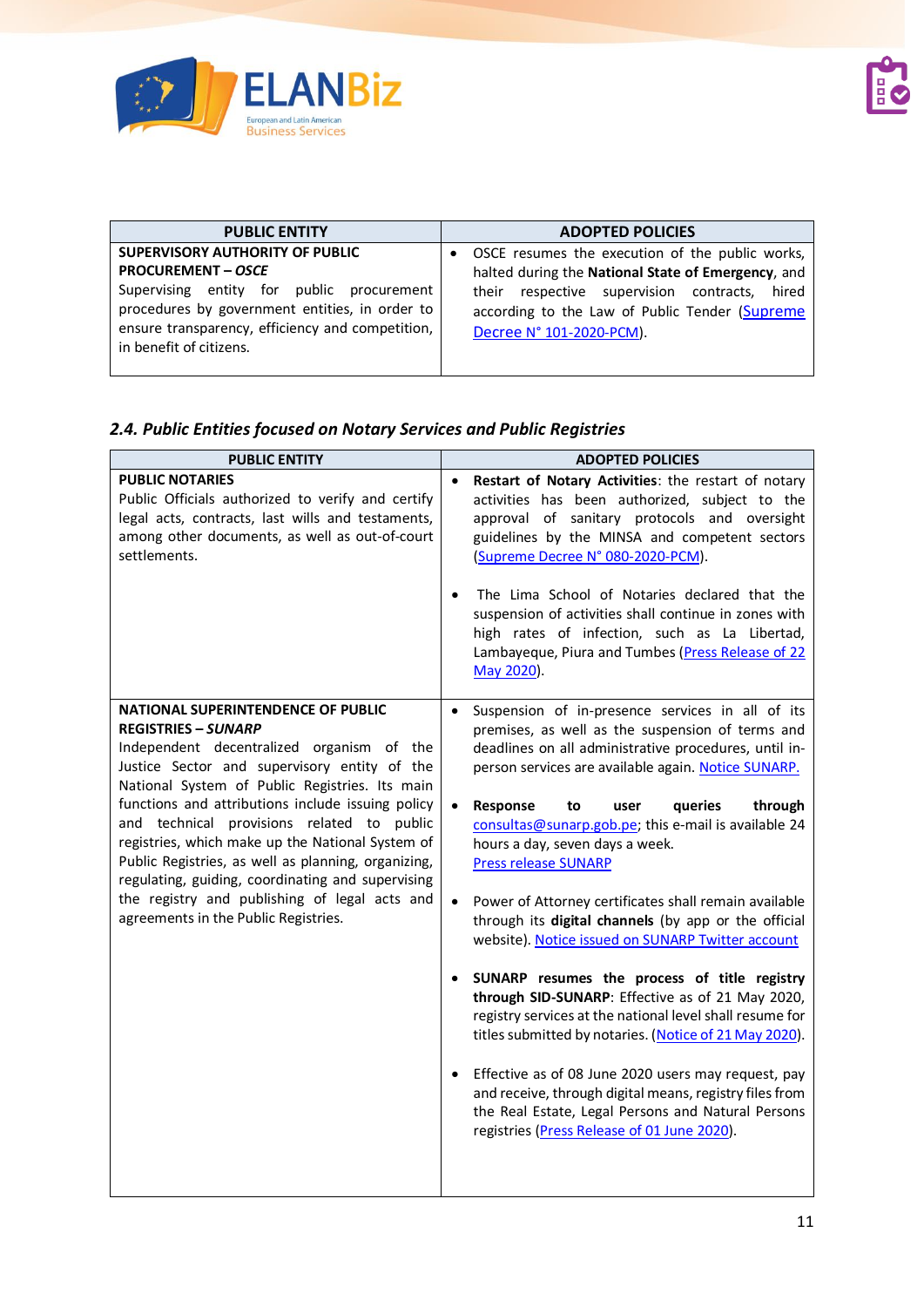

| <b>PUBLIC ENTITY</b>                                                                                                                                                                                                                                 | <b>ADOPTED POLICIES</b>                                                                                                                                                                                                                         |  |
|------------------------------------------------------------------------------------------------------------------------------------------------------------------------------------------------------------------------------------------------------|-------------------------------------------------------------------------------------------------------------------------------------------------------------------------------------------------------------------------------------------------|--|
| <b>SUPERVISORY AUTHORITY OF PUBLIC</b><br><b>PROCUREMENT - OSCE</b><br>entity for public procurement<br>Supervising<br>procedures by government entities, in order to<br>ensure transparency, efficiency and competition,<br>in benefit of citizens. | OSCE resumes the execution of the public works,<br>٠<br>halted during the National State of Emergency, and<br>respective supervision contracts,<br>hired<br>their<br>according to the Law of Public Tender (Supreme<br>Decree N° 101-2020-PCM). |  |

## *2.4. Public Entities focused on Notary Services and Public Registries*

| <b>PUBLIC ENTITY</b>                                                                                                                                                                                                                                                                                                                                                                                                                                                                                                                                                               | <b>ADOPTED POLICIES</b>                                                                                                                                                                                                                                                                                                                                                                                                                                                                                                                                                                                                                                                                                                                                                                                                                                                                                                                                                                                                                                                   |
|------------------------------------------------------------------------------------------------------------------------------------------------------------------------------------------------------------------------------------------------------------------------------------------------------------------------------------------------------------------------------------------------------------------------------------------------------------------------------------------------------------------------------------------------------------------------------------|---------------------------------------------------------------------------------------------------------------------------------------------------------------------------------------------------------------------------------------------------------------------------------------------------------------------------------------------------------------------------------------------------------------------------------------------------------------------------------------------------------------------------------------------------------------------------------------------------------------------------------------------------------------------------------------------------------------------------------------------------------------------------------------------------------------------------------------------------------------------------------------------------------------------------------------------------------------------------------------------------------------------------------------------------------------------------|
| <b>PUBLIC NOTARIES</b><br>Public Officials authorized to verify and certify<br>legal acts, contracts, last wills and testaments,<br>among other documents, as well as out-of-court<br>settlements.                                                                                                                                                                                                                                                                                                                                                                                 | Restart of Notary Activities: the restart of notary<br>$\bullet$<br>activities has been authorized, subject to the<br>approval of sanitary protocols and oversight<br>guidelines by the MINSA and competent sectors<br>(Supreme Decree N° 080-2020-PCM).<br>The Lima School of Notaries declared that the<br>$\bullet$<br>suspension of activities shall continue in zones with<br>high rates of infection, such as La Libertad,<br>Lambayeque, Piura and Tumbes (Press Release of 22<br>May 2020).                                                                                                                                                                                                                                                                                                                                                                                                                                                                                                                                                                       |
| <b>NATIONAL SUPERINTENDENCE OF PUBLIC</b><br><b>REGISTRIES - SUNARP</b><br>Independent decentralized organism of the<br>Justice Sector and supervisory entity of the<br>National System of Public Registries. Its main<br>functions and attributions include issuing policy<br>and technical provisions related to public<br>registries, which make up the National System of<br>Public Registries, as well as planning, organizing,<br>regulating, guiding, coordinating and supervising<br>the registry and publishing of legal acts and<br>agreements in the Public Registries. | Suspension of in-presence services in all of its<br>$\bullet$<br>premises, as well as the suspension of terms and<br>deadlines on all administrative procedures, until in-<br>person services are available again. Notice SUNARP.<br>Response<br>$\bullet$<br>queries<br>through<br>to<br>user<br>consultas@sunarp.gob.pe; this e-mail is available 24<br>hours a day, seven days a week.<br><b>Press release SUNARP</b><br>Power of Attorney certificates shall remain available<br>$\bullet$<br>through its digital channels (by app or the official<br>website). Notice issued on SUNARP Twitter account<br>SUNARP resumes the process of title registry<br>through SID-SUNARP: Effective as of 21 May 2020,<br>registry services at the national level shall resume for<br>titles submitted by notaries. (Notice of 21 May 2020).<br>Effective as of 08 June 2020 users may request, pay<br>$\bullet$<br>and receive, through digital means, registry files from<br>the Real Estate, Legal Persons and Natural Persons<br>registries (Press Release of 01 June 2020). |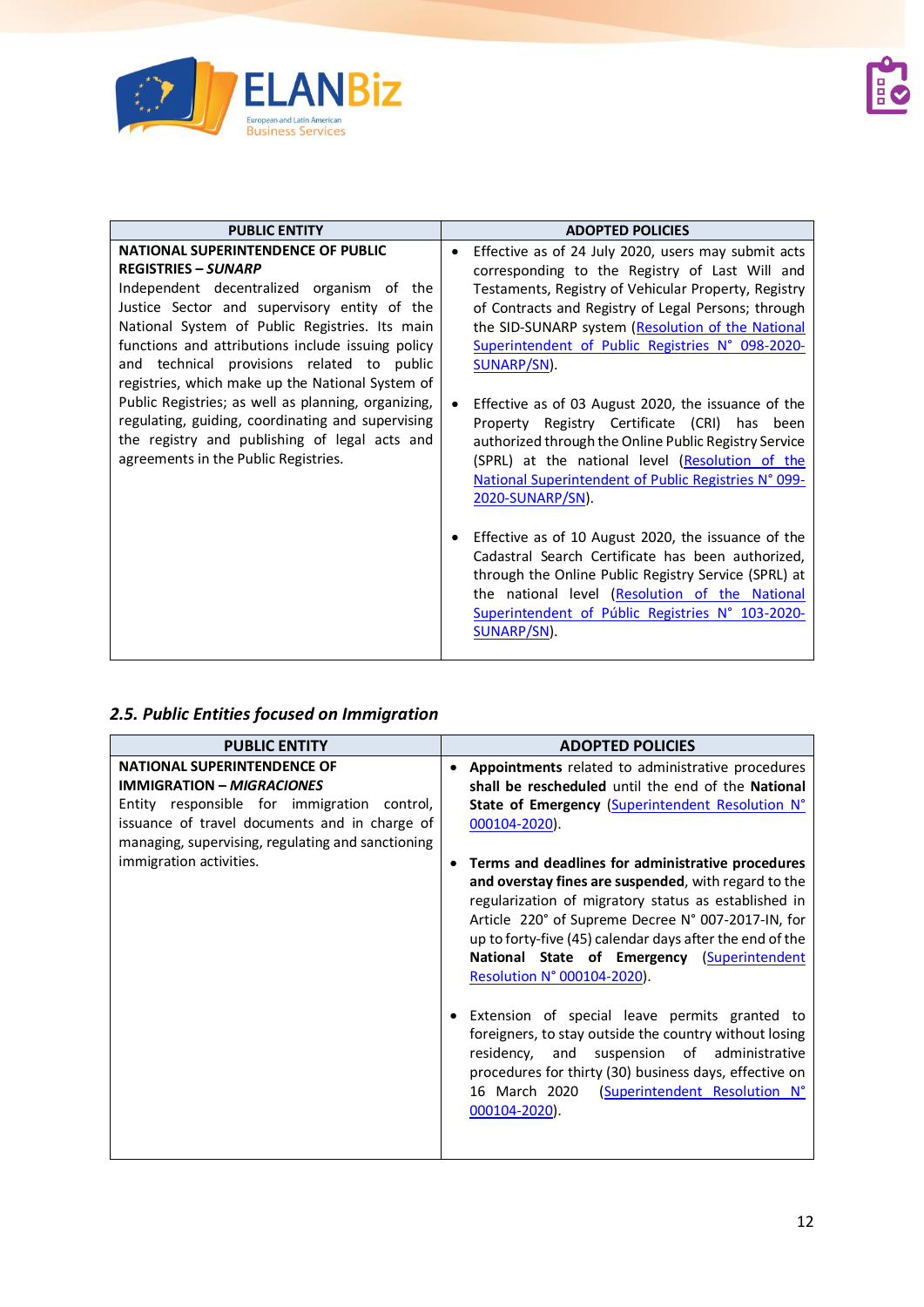

| <b>PUBLIC ENTITY</b>                                                                                                                                                                                                                                                                                                                                                                                                                                                                                                                                                               | <b>ADOPTED POLICIES</b>                                                                                                                                                                                                                                                                                                                                                                                                                                                                                                                                                                                                                                                                                                                                                                                                                                                                                                                                                     |
|------------------------------------------------------------------------------------------------------------------------------------------------------------------------------------------------------------------------------------------------------------------------------------------------------------------------------------------------------------------------------------------------------------------------------------------------------------------------------------------------------------------------------------------------------------------------------------|-----------------------------------------------------------------------------------------------------------------------------------------------------------------------------------------------------------------------------------------------------------------------------------------------------------------------------------------------------------------------------------------------------------------------------------------------------------------------------------------------------------------------------------------------------------------------------------------------------------------------------------------------------------------------------------------------------------------------------------------------------------------------------------------------------------------------------------------------------------------------------------------------------------------------------------------------------------------------------|
| <b>NATIONAL SUPERINTENDENCE OF PUBLIC</b><br><b>REGISTRIES – SUNARP</b><br>Independent decentralized organism of the<br>Justice Sector and supervisory entity of the<br>National System of Public Registries. Its main<br>functions and attributions include issuing policy<br>and technical provisions related to public<br>registries, which make up the National System of<br>Public Registries; as well as planning, organizing,<br>regulating, guiding, coordinating and supervising<br>the registry and publishing of legal acts and<br>agreements in the Public Registries. | Effective as of 24 July 2020, users may submit acts<br>$\bullet$<br>corresponding to the Registry of Last Will and<br>Testaments, Registry of Vehicular Property, Registry<br>of Contracts and Registry of Legal Persons; through<br>the SID-SUNARP system (Resolution of the National<br>Superintendent of Public Registries N° 098-2020-<br>SUNARP/SN).<br>Effective as of 03 August 2020, the issuance of the<br>$\bullet$<br>Property Registry Certificate (CRI) has been<br>authorized through the Online Public Registry Service<br>(SPRL) at the national level (Resolution of the<br>National Superintendent of Public Registries N° 099-<br>2020-SUNARP/SN).<br>Effective as of 10 August 2020, the issuance of the<br>$\bullet$<br>Cadastral Search Certificate has been authorized,<br>through the Online Public Registry Service (SPRL) at<br>the national level (Resolution of the National<br>Superintendent of Públic Registries N° 103-2020-<br>SUNARP/SN). |

## *2.5. Public Entities focused on Immigration*

| <b>PUBLIC ENTITY</b>                                                                                                                                                                                                                                   | <b>ADOPTED POLICIES</b>                                                                                                                                                                                                                                                                                                                                                                                                                                                                                                                                                                                                                                                                                                                                                                                                                                          |
|--------------------------------------------------------------------------------------------------------------------------------------------------------------------------------------------------------------------------------------------------------|------------------------------------------------------------------------------------------------------------------------------------------------------------------------------------------------------------------------------------------------------------------------------------------------------------------------------------------------------------------------------------------------------------------------------------------------------------------------------------------------------------------------------------------------------------------------------------------------------------------------------------------------------------------------------------------------------------------------------------------------------------------------------------------------------------------------------------------------------------------|
| <b>NATIONAL SUPERINTENDENCE OF</b><br><b>IMMIGRATION - MIGRACIONES</b><br>Entity responsible for immigration control,<br>issuance of travel documents and in charge of<br>managing, supervising, regulating and sanctioning<br>immigration activities. | Appointments related to administrative procedures<br>$\bullet$<br>shall be rescheduled until the end of the National<br>State of Emergency (Superintendent Resolution N°<br>000104-2020).<br>Terms and deadlines for administrative procedures<br>٠<br>and overstay fines are suspended, with regard to the<br>regularization of migratory status as established in<br>Article 220° of Supreme Decree N° 007-2017-IN, for<br>up to forty-five (45) calendar days after the end of the<br>National State of Emergency (Superintendent<br>Resolution N° 000104-2020).<br>Extension of special leave permits granted to<br>foreigners, to stay outside the country without losing<br>suspension of administrative<br>and<br>residency,<br>procedures for thirty (30) business days, effective on<br>16 March 2020<br>(Superintendent Resolution N°<br>000104-2020). |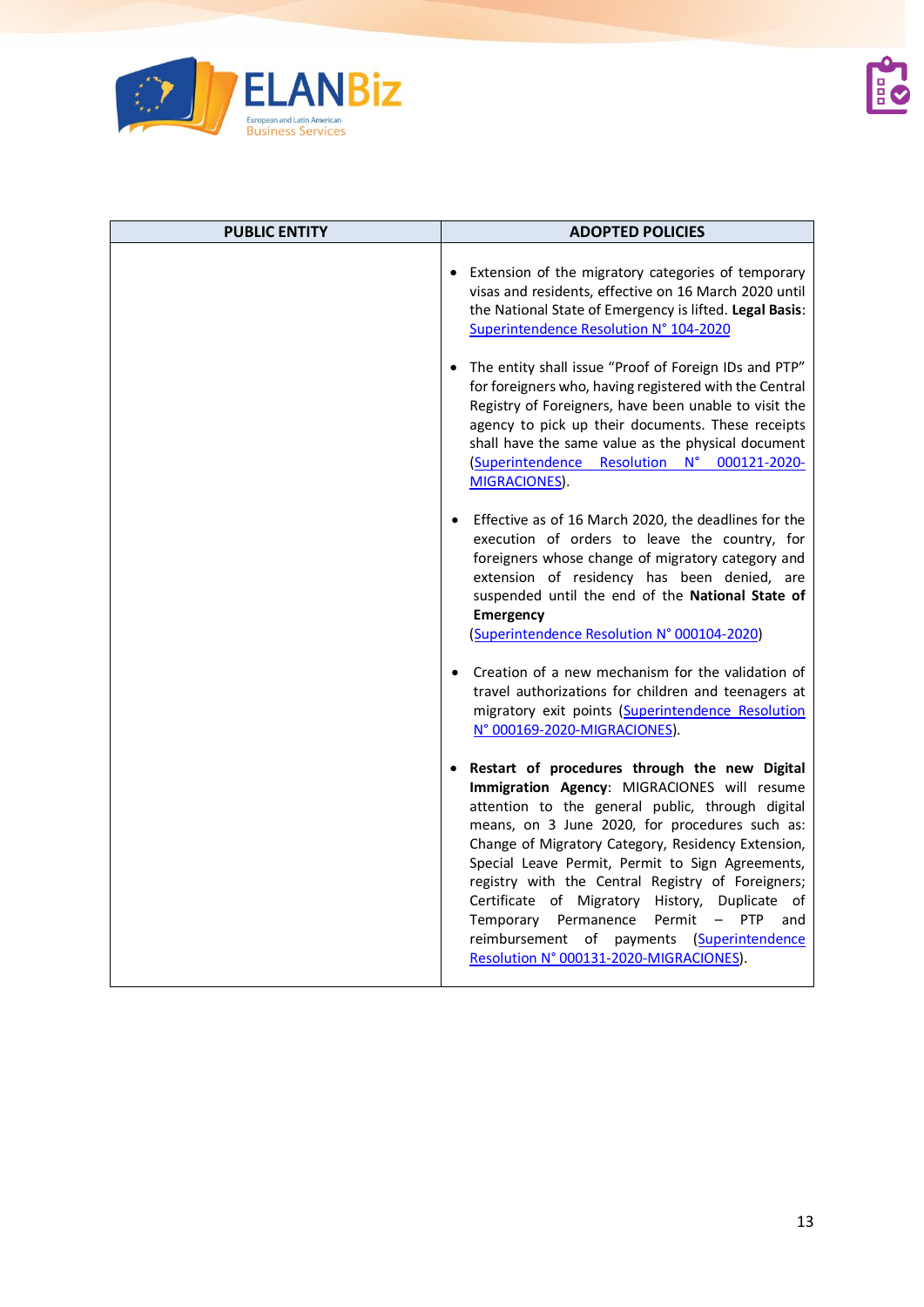

| <b>PUBLIC ENTITY</b> | <b>ADOPTED POLICIES</b>                                                                                                                                                                                                                                                                                                                                                                                                                                                                                                                                     |
|----------------------|-------------------------------------------------------------------------------------------------------------------------------------------------------------------------------------------------------------------------------------------------------------------------------------------------------------------------------------------------------------------------------------------------------------------------------------------------------------------------------------------------------------------------------------------------------------|
|                      | Extension of the migratory categories of temporary<br>visas and residents, effective on 16 March 2020 until<br>the National State of Emergency is lifted. Legal Basis:<br>Superintendence Resolution N° 104-2020                                                                                                                                                                                                                                                                                                                                            |
|                      | The entity shall issue "Proof of Foreign IDs and PTP"<br>for foreigners who, having registered with the Central<br>Registry of Foreigners, have been unable to visit the<br>agency to pick up their documents. These receipts<br>shall have the same value as the physical document<br>(Superintendence Resolution N°<br>000121-2020-<br>MIGRACIONES).                                                                                                                                                                                                      |
|                      | Effective as of 16 March 2020, the deadlines for the<br>execution of orders to leave the country, for<br>foreigners whose change of migratory category and<br>extension of residency has been denied, are<br>suspended until the end of the National State of<br>Emergency<br>(Superintendence Resolution N° 000104-2020)                                                                                                                                                                                                                                   |
|                      | Creation of a new mechanism for the validation of<br>travel authorizations for children and teenagers at<br>migratory exit points (Superintendence Resolution<br>N° 000169-2020-MIGRACIONES).                                                                                                                                                                                                                                                                                                                                                               |
|                      | Restart of procedures through the new Digital<br>Immigration Agency: MIGRACIONES will resume<br>attention to the general public, through digital<br>means, on 3 June 2020, for procedures such as:<br>Change of Migratory Category, Residency Extension,<br>Special Leave Permit, Permit to Sign Agreements,<br>registry with the Central Registry of Foreigners;<br>Certificate of Migratory History, Duplicate of<br>Permit - PTP<br>Temporary Permanence<br>and<br>reimbursement of payments (Superintendence<br>Resolution N° 000131-2020-MIGRACIONES). |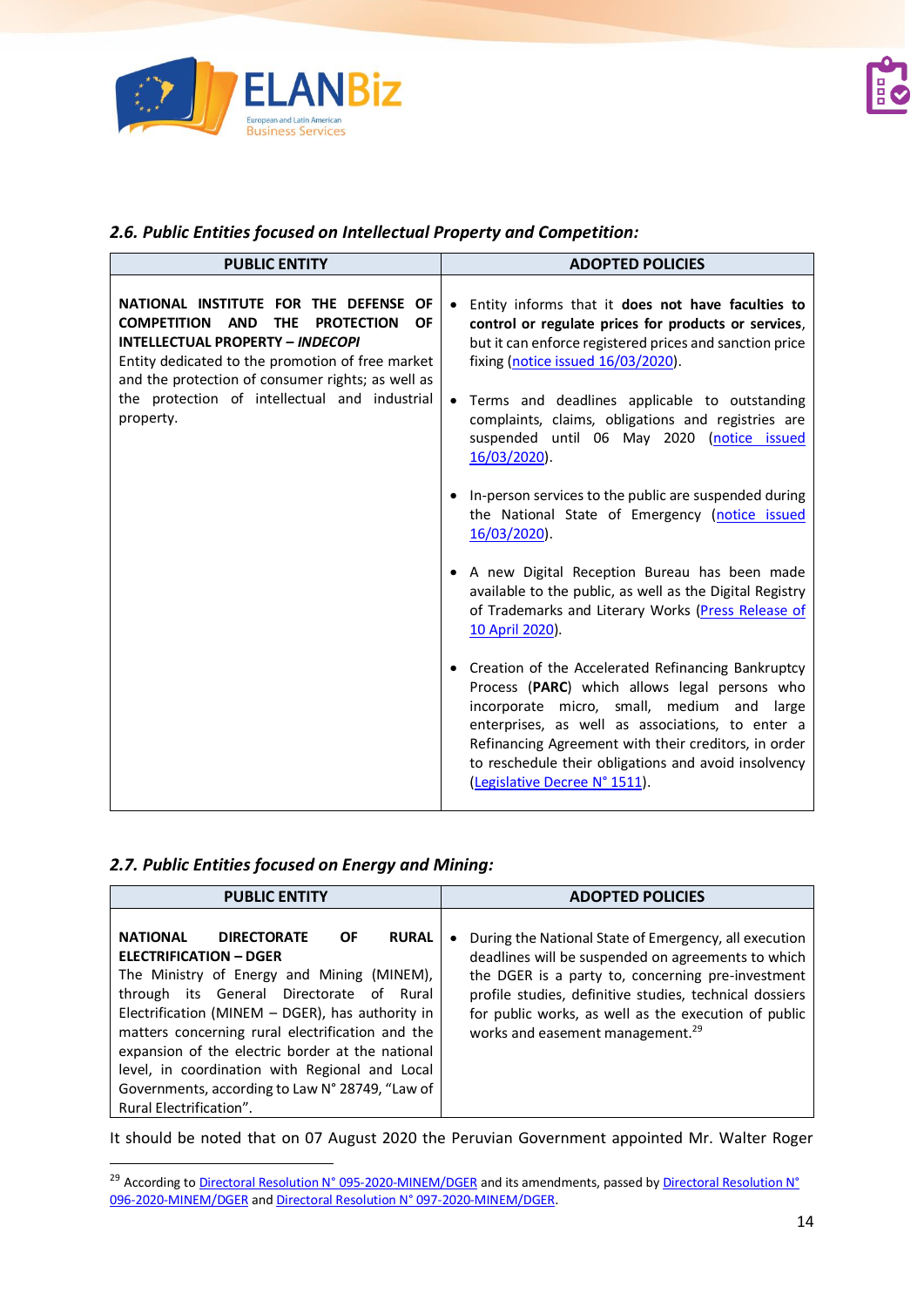

## *2.6. Public Entities focused on Intellectual Property and Competition:*

| <b>PUBLIC ENTITY</b>                                                                                                                                                                                                                                                                                                                 | <b>ADOPTED POLICIES</b>                                                                                                                                                                                                                                                                                                                                                                                                                                                                                                                                                                                                                                                                                                                                                                                                                                                                                                                                                                                                                                                                  |
|--------------------------------------------------------------------------------------------------------------------------------------------------------------------------------------------------------------------------------------------------------------------------------------------------------------------------------------|------------------------------------------------------------------------------------------------------------------------------------------------------------------------------------------------------------------------------------------------------------------------------------------------------------------------------------------------------------------------------------------------------------------------------------------------------------------------------------------------------------------------------------------------------------------------------------------------------------------------------------------------------------------------------------------------------------------------------------------------------------------------------------------------------------------------------------------------------------------------------------------------------------------------------------------------------------------------------------------------------------------------------------------------------------------------------------------|
| NATIONAL INSTITUTE FOR THE DEFENSE OF<br><b>COMPETITION</b><br>AND<br><b>THE</b><br><b>PROTECTION</b><br><b>OF</b><br><b>INTELLECTUAL PROPERTY - INDECOPI</b><br>Entity dedicated to the promotion of free market<br>and the protection of consumer rights; as well as<br>the protection of intellectual and industrial<br>property. | Entity informs that it does not have faculties to<br>$\bullet$<br>control or regulate prices for products or services,<br>but it can enforce registered prices and sanction price<br>fixing (notice issued 16/03/2020).<br>Terms and deadlines applicable to outstanding<br>$\bullet$<br>complaints, claims, obligations and registries are<br>suspended until 06 May 2020 (notice issued<br>16/03/2020).<br>In-person services to the public are suspended during<br>the National State of Emergency (notice issued<br>16/03/2020).<br>A new Digital Reception Bureau has been made<br>available to the public, as well as the Digital Registry<br>of Trademarks and Literary Works (Press Release of<br>10 April 2020).<br>• Creation of the Accelerated Refinancing Bankruptcy<br>Process (PARC) which allows legal persons who<br>incorporate micro, small, medium and<br>large<br>enterprises, as well as associations, to enter a<br>Refinancing Agreement with their creditors, in order<br>to reschedule their obligations and avoid insolvency<br>(Legislative Decree N° 1511). |

#### *2.7. Public Entities focused on Energy and Mining:*

| <b>PUBLIC ENTITY</b>                                                                                                                                                                                                                                                                                                                                                                                                                                                                         | <b>ADOPTED POLICIES</b>                                                                                                                                                                                                                                                                                                                          |
|----------------------------------------------------------------------------------------------------------------------------------------------------------------------------------------------------------------------------------------------------------------------------------------------------------------------------------------------------------------------------------------------------------------------------------------------------------------------------------------------|--------------------------------------------------------------------------------------------------------------------------------------------------------------------------------------------------------------------------------------------------------------------------------------------------------------------------------------------------|
| <b>NATIONAL</b><br><b>DIRECTORATE</b><br><b>OF</b><br><b>RURAL</b><br><b>ELECTRIFICATION - DGER</b><br>The Ministry of Energy and Mining (MINEM),<br>through its General Directorate of<br>Rural<br>Electrification (MINEM - DGER), has authority in<br>matters concerning rural electrification and the<br>expansion of the electric border at the national<br>level, in coordination with Regional and Local<br>Governments, according to Law N° 28749, "Law of<br>Rural Electrification". | During the National State of Emergency, all execution<br>$\bullet$<br>deadlines will be suspended on agreements to which<br>the DGER is a party to, concerning pre-investment<br>profile studies, definitive studies, technical dossiers<br>for public works, as well as the execution of public<br>works and easement management. <sup>29</sup> |

It should be noted that on 07 August 2020 the Peruvian Government appointed Mr. Walter Roger

<sup>&</sup>lt;sup>29</sup> According to *Directoral Resolution N° 095-2020-MINEM/DGER* and its amendments, passed by *Directoral Resolution N°* [096-2020-MINEM/DGER](https://busquedas.elperuano.pe/normaslegales/prorrogan-suspension-del-plazo-de-ejecucion-contractual-decl-resolucion-directoral-n-096-2020-minemdger-1865334-1/) an[d Directoral Resolution N° 097-2020-MINEM/DGER.](https://busquedas.elperuano.pe/normaslegales/prorrogan-la-suspension-de-plazo-de-ejecucion-contractual-e-resolucion-directoral-n-097-2020-minemdger-1865603-1/)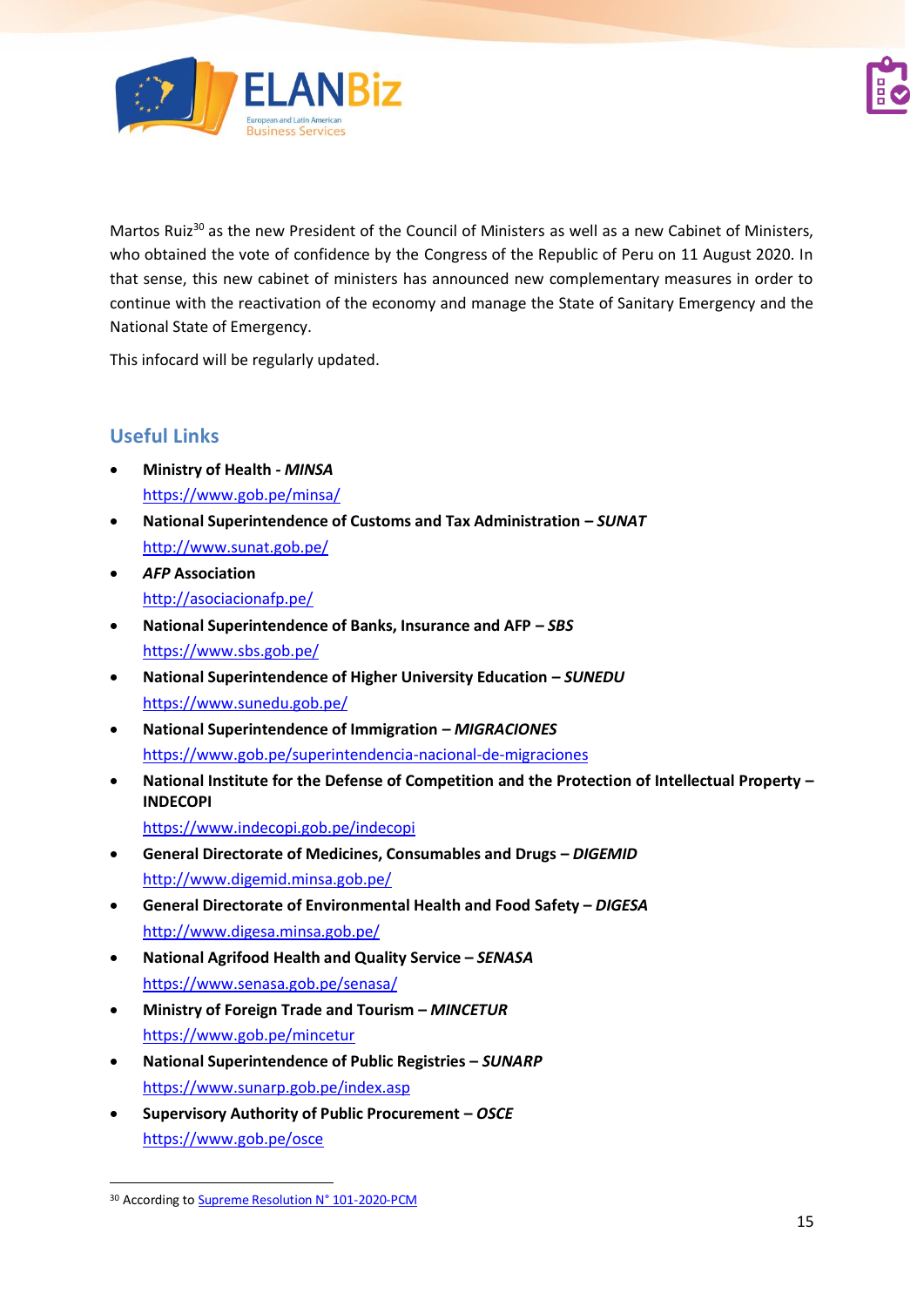



Martos Ruiz<sup>30</sup> as the new President of the Council of Ministers as well as a new Cabinet of Ministers. who obtained the vote of confidence by the Congress of the Republic of Peru on 11 August 2020. In that sense, this new cabinet of ministers has announced new complementary measures in order to continue with the reactivation of the economy and manage the State of Sanitary Emergency and the National State of Emergency.

This infocard will be regularly updated.

## **Useful Links**

- **Ministry of Health -** *MINSA* <https://www.gob.pe/minsa/>
- **National Superintendence of Customs and Tax Administration –** *SUNAT* <http://www.sunat.gob.pe/>
- *AFP* **Association** <http://asociacionafp.pe/>
- **National Superintendence of Banks, Insurance and AFP –** *SBS* <https://www.sbs.gob.pe/>
- **National Superintendence of Higher University Education –** *SUNEDU* <https://www.sunedu.gob.pe/>
- **National Superintendence of Immigration –** *MIGRACIONES* <https://www.gob.pe/superintendencia-nacional-de-migraciones>
- **National Institute for the Defense of Competition and the Protection of Intellectual Property – INDECOPI**

<https://www.indecopi.gob.pe/indecopi>

- **General Directorate of Medicines, Consumables and Drugs –** *DIGEMID* <http://www.digemid.minsa.gob.pe/>
- **General Directorate of Environmental Health and Food Safety –** *DIGESA* <http://www.digesa.minsa.gob.pe/>
- **National Agrifood Health and Quality Service –** *SENASA* <https://www.senasa.gob.pe/senasa/>
- **Ministry of Foreign Trade and Tourism –** *MINCETUR* <https://www.gob.pe/mincetur>
- **National Superintendence of Public Registries –** *SUNARP* <https://www.sunarp.gob.pe/index.asp>
- **Supervisory Authority of Public Procurement –** *OSCE* <https://www.gob.pe/osce>

<sup>30</sup> According t[o Supreme Resolution N° 101-2020-PCM](https://cdn.www.gob.pe/uploads/document/file/1225314/RS_N%C2%BA_101-2020-PCM.pdf)